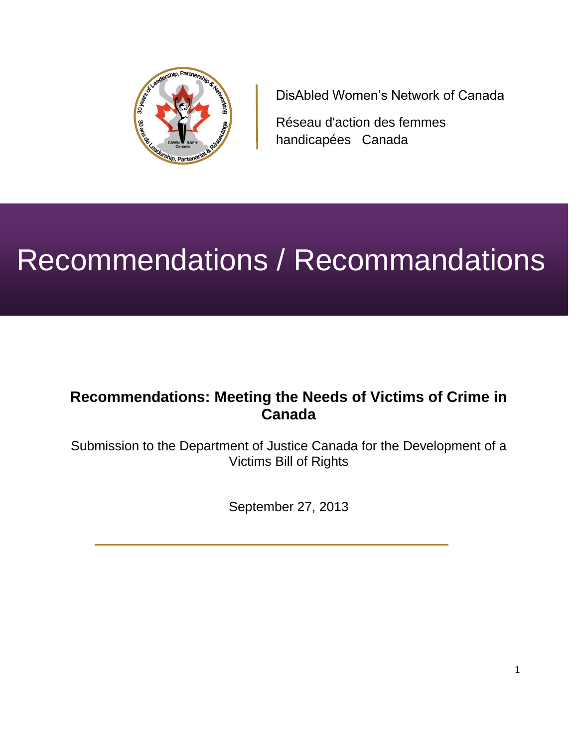

DisAbled Women's Network of Canada

Réseau d'action des femmes handicapées Canada

# Recommendations / Recommandations

# **Recommendations: Meeting the Needs of Victims of Crime in Canada**

Submission to the Department of Justice Canada for the Development of a Victims Bill of Rights

September 27, 2013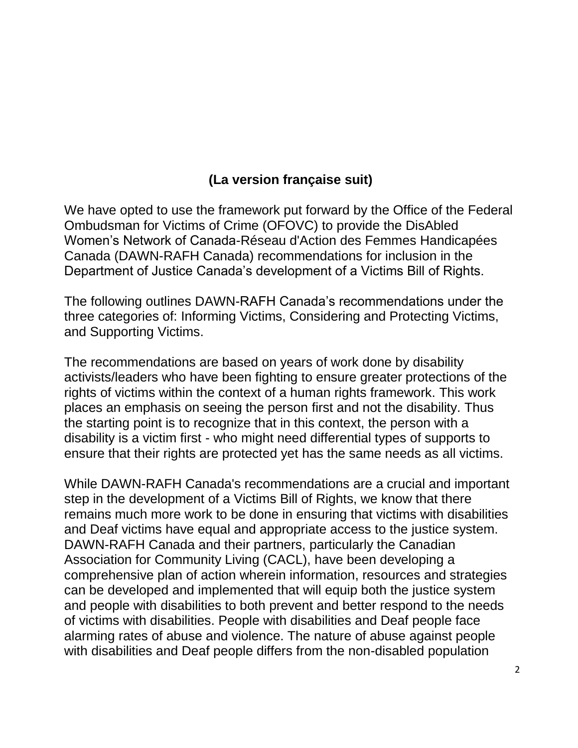# **(La version française suit)**

We have opted to use the framework put forward by the Office of the Federal Ombudsman for Victims of Crime (OFOVC) to provide the DisAbled Women's Network of Canada-Réseau d'Action des Femmes Handicapées Canada (DAWN-RAFH Canada) recommendations for inclusion in the Department of Justice Canada's development of a Victims Bill of Rights.

The following outlines DAWN-RAFH Canada's recommendations under the three categories of: Informing Victims, Considering and Protecting Victims, and Supporting Victims.

The recommendations are based on years of work done by disability activists/leaders who have been fighting to ensure greater protections of the rights of victims within the context of a human rights framework. This work places an emphasis on seeing the person first and not the disability. Thus the starting point is to recognize that in this context, the person with a disability is a victim first - who might need differential types of supports to ensure that their rights are protected yet has the same needs as all victims.

While DAWN-RAFH Canada's recommendations are a crucial and important step in the development of a Victims Bill of Rights, we know that there remains much more work to be done in ensuring that victims with disabilities and Deaf victims have equal and appropriate access to the justice system. DAWN-RAFH Canada and their partners, particularly the Canadian Association for Community Living (CACL), have been developing a comprehensive plan of action wherein information, resources and strategies can be developed and implemented that will equip both the justice system and people with disabilities to both prevent and better respond to the needs of victims with disabilities. People with disabilities and Deaf people face alarming rates of abuse and violence. The nature of abuse against people with disabilities and Deaf people differs from the non-disabled population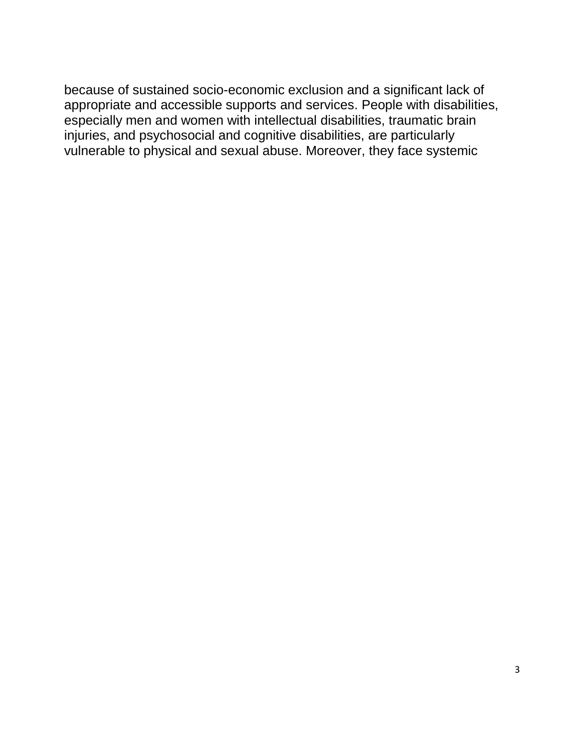because of sustained socio-economic exclusion and a significant lack of appropriate and accessible supports and services. People with disabilities, especially men and women with intellectual disabilities, traumatic brain injuries, and psychosocial and cognitive disabilities, are particularly vulnerable to physical and sexual abuse. Moreover, they face systemic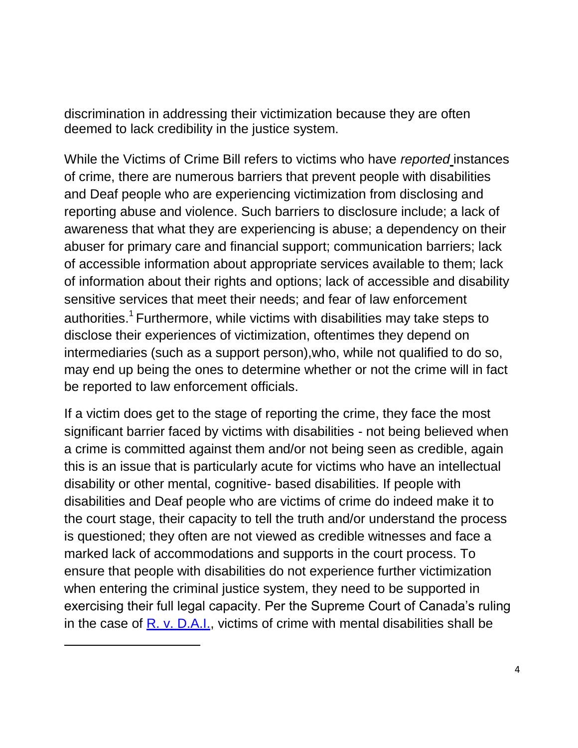discrimination in addressing their victimization because they are often deemed to lack credibility in the justice system.

While the Victims of Crime Bill refers to victims who have *reported* instances of crime, there are numerous barriers that prevent people with disabilities and Deaf people who are experiencing victimization from disclosing and reporting abuse and violence. Such barriers to disclosure include; a lack of awareness that what they are experiencing is abuse; a dependency on their abuser for primary care and financial support; communication barriers; lack of accessible information about appropriate services available to them; lack of information about their rights and options; lack of accessible and disability sensitive services that meet their needs; and fear of law enforcement authorities.<sup>1</sup> Furthermore, while victims with disabilities may take steps to disclose their experiences of victimization, oftentimes they depend on intermediaries (such as a support person),who, while not qualified to do so, may end up being the ones to determine whether or not the crime will in fact be reported to law enforcement officials.

If a victim does get to the stage of reporting the crime, they face the most significant barrier faced by victims with disabilities - not being believed when a crime is committed against them and/or not being seen as credible, again this is an issue that is particularly acute for victims who have an intellectual disability or other mental, cognitive- based disabilities. If people with disabilities and Deaf people who are victims of crime do indeed make it to the court stage, their capacity to tell the truth and/or understand the process is questioned; they often are not viewed as credible witnesses and face a marked lack of accommodations and supports in the court process. To ensure that people with disabilities do not experience further victimization when entering the criminal justice system, they need to be supported in exercising their full legal capacity. Per the Supreme Court of Canada's ruling in the case of  $R. v. D.A.I.$ , victims of crime with mental disabilities shall be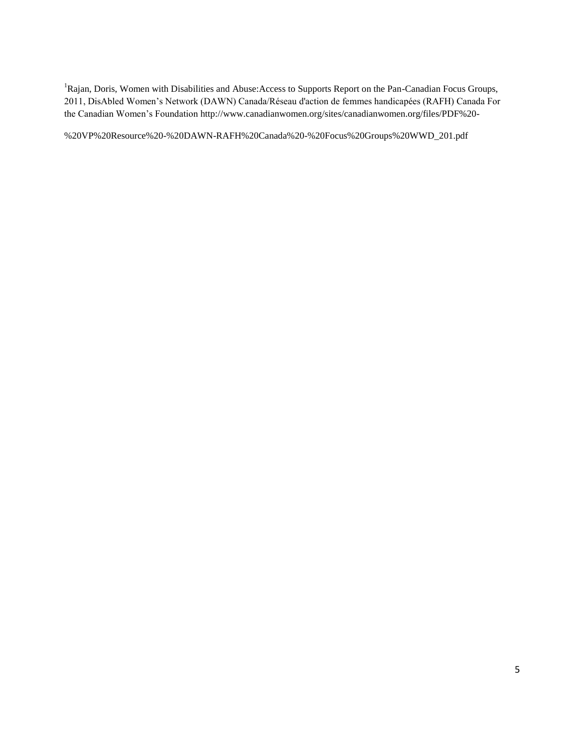<sup>1</sup>Rajan, Doris, Women with Disabilities and Abuse: Access to Supports Report on the Pan-Canadian Focus Groups, 2011, DisAbled Women's Network (DAWN) Canada/Réseau d'action de femmes handicapées (RAFH) Canada For the Canadian Women's Foundation<http://www.canadianwomen.org/sites/canadianwomen.org/files/PDF%20->

%20VP%20Resource%20-%20DAWN-RAFH%20Canada%20-%20Focus%20Groups%20WWD\_201.pdf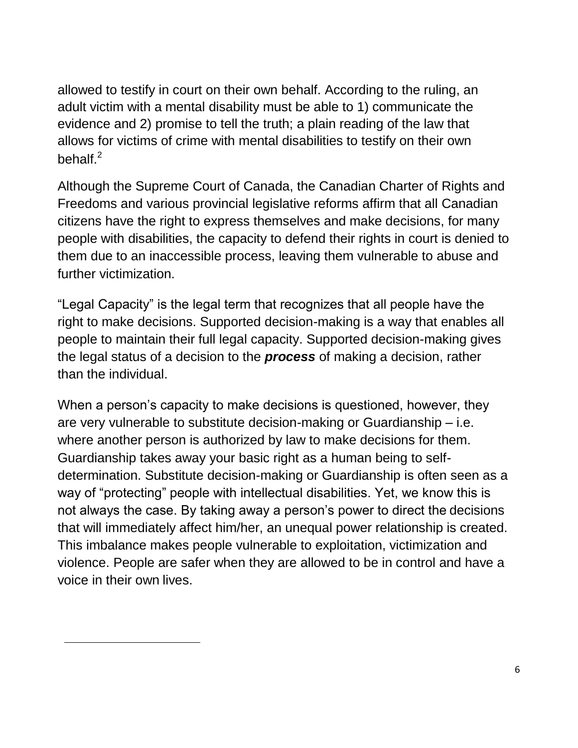allowed to testify in court on their own behalf. According to the ruling, an adult victim with a mental disability must be able to 1) communicate the evidence and 2) promise to tell the truth; a plain reading of the law that allows for victims of crime with mental disabilities to testify on their own behalf. $^2$ 

Although the Supreme Court of Canada, the Canadian Charter of Rights and Freedoms and various provincial legislative reforms affirm that all Canadian citizens have the right to express themselves and make decisions, for many people with disabilities, the capacity to defend their rights in court is denied to them due to an inaccessible process, leaving them vulnerable to abuse and further victimization.

"Legal Capacity" is the legal term that recognizes that all people have the right to make decisions. Supported decision-making is a way that enables all people to maintain their full legal capacity. Supported decision-making gives the legal status of a decision to the *process* of making a decision, rather than the individual.

When a person's capacity to make decisions is questioned, however, they are very vulnerable to substitute decision-making or Guardianship – i.e. where another person is authorized by law to make decisions for them. Guardianship takes away your basic right as a human being to selfdetermination. Substitute decision-making or Guardianship is often seen as a way of "protecting" people with intellectual disabilities. Yet, we know this is not always the case. By taking away a person's power to direct the decisions that will immediately affect him/her, an unequal power relationship is created. This imbalance makes people vulnerable to exploitation, victimization and violence. People are safer when they are allowed to be in control and have a voice in their own lives.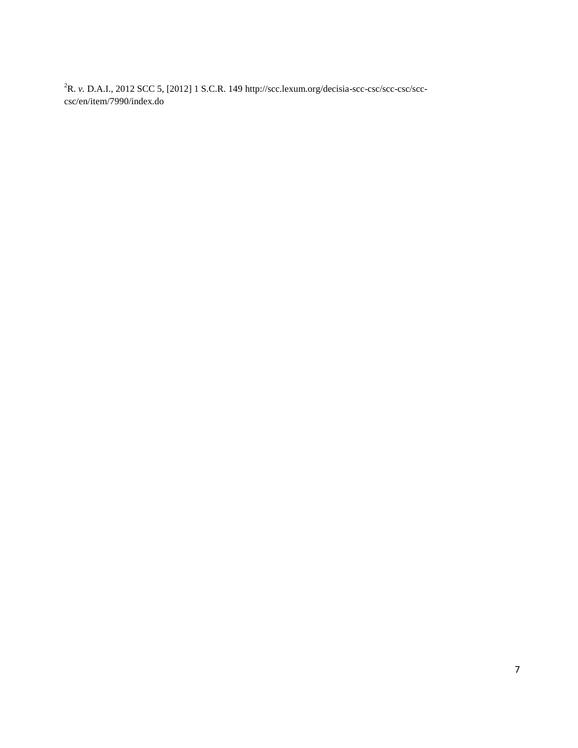R. *v.* D.A.I., 2012 SCC 5, [2012] 1 S.C.R. 149 [http://scc.lexum.org/decisia-scc-csc/scc-csc/scc](http://scc.lexum.org/decisia-scc-csc/scc-csc/scc-)csc/en/item/7990/index.do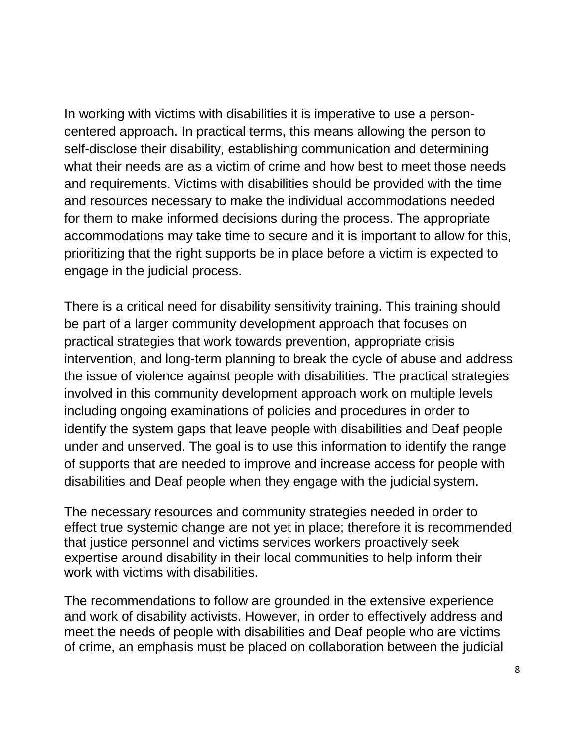In working with victims with disabilities it is imperative to use a personcentered approach. In practical terms, this means allowing the person to self-disclose their disability, establishing communication and determining what their needs are as a victim of crime and how best to meet those needs and requirements. Victims with disabilities should be provided with the time and resources necessary to make the individual accommodations needed for them to make informed decisions during the process. The appropriate accommodations may take time to secure and it is important to allow for this, prioritizing that the right supports be in place before a victim is expected to engage in the judicial process.

There is a critical need for disability sensitivity training. This training should be part of a larger community development approach that focuses on practical strategies that work towards prevention, appropriate crisis intervention, and long-term planning to break the cycle of abuse and address the issue of violence against people with disabilities. The practical strategies involved in this community development approach work on multiple levels including ongoing examinations of policies and procedures in order to identify the system gaps that leave people with disabilities and Deaf people under and unserved. The goal is to use this information to identify the range of supports that are needed to improve and increase access for people with disabilities and Deaf people when they engage with the judicial system.

The necessary resources and community strategies needed in order to effect true systemic change are not yet in place; therefore it is recommended that justice personnel and victims services workers proactively seek expertise around disability in their local communities to help inform their work with victims with disabilities.

The recommendations to follow are grounded in the extensive experience and work of disability activists. However, in order to effectively address and meet the needs of people with disabilities and Deaf people who are victims of crime, an emphasis must be placed on collaboration between the judicial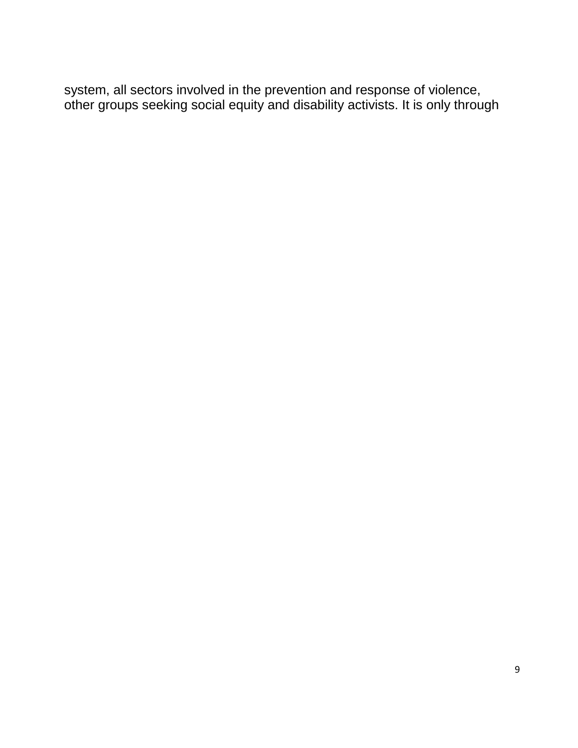system, all sectors involved in the prevention and response of violence, other groups seeking social equity and disability activists. It is only through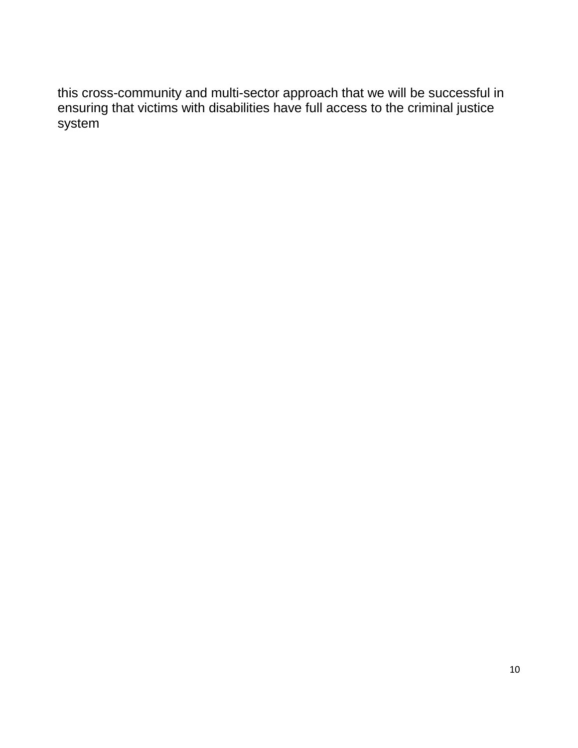this cross-community and multi-sector approach that we will be successful in ensuring that victims with disabilities have full access to the criminal justice system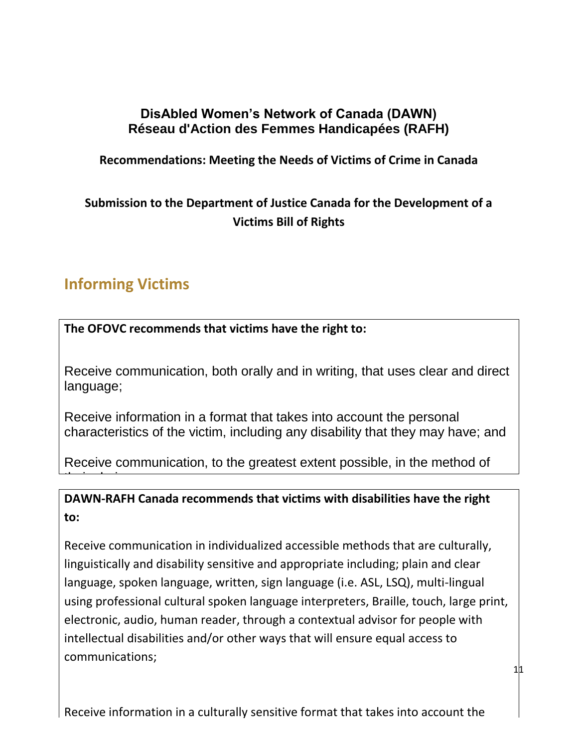# **DisAbled Women's Network of Canada (DAWN) Réseau d'Action des Femmes Handicapées (RAFH)**

# **Recommendations: Meeting the Needs of Victims of Crime in Canada**

# **Submission to the Department of Justice Canada for the Development of a Victims Bill of Rights**

# **Informing Victims**

the choice.

**The OFOVC recommends that victims have the right to:**

Receive communication, both orally and in writing, that uses clear and direct language;

Receive information in a format that takes into account the personal characteristics of the victim, including any disability that they may have; and

Receive communication, to the greatest extent possible, in the method of

**DAWN-RAFH Canada recommends that victims with disabilities have the right to:**

Receive communication in individualized accessible methods that are culturally, linguistically and disability sensitive and appropriate including; plain and clear language, spoken language, written, sign language (i.e. ASL, LSQ), multi-lingual using professional cultural spoken language interpreters, Braille, touch, large print, electronic, audio, human reader, through a contextual advisor for people with intellectual disabilities and/or other ways that will ensure equal access to communications;

 $11$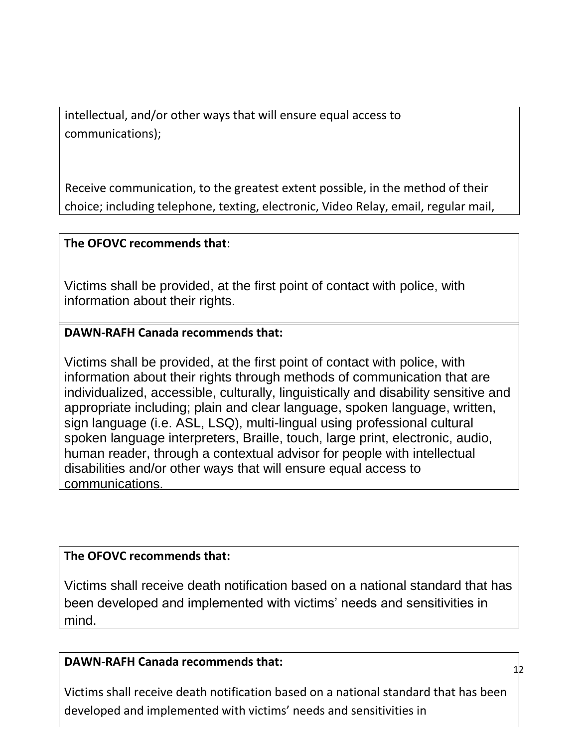intellectual, and/or other ways that will ensure equal access to communications);

Receive communication, to the greatest extent possible, in the method of their choice; including telephone, texting, electronic, Video Relay, email, regular mail,

# **The OFOVC recommends that:**

Victims shall be provided, at the first point of contact with police, with information about their rights.

# **DAWN-RAFH Canada recommends that:**

Victims shall be provided, at the first point of contact with police, with information about their rights through methods of communication that are individualized, accessible, culturally, linguistically and disability sensitive and appropriate including; plain and clear language, spoken language, written, sign language (i.e. ASL, LSQ), multi-lingual using professional cultural spoken language interpreters, Braille, touch, large print, electronic, audio, human reader, through a contextual advisor for people with intellectual disabilities and/or other ways that will ensure equal access to communications.

# **The OFOVC recommends that:**

Victims shall receive death notification based on a national standard that has been developed and implemented with victims' needs and sensitivities in mind.

# **DAWN-RAFH Canada recommends that:**

Victims shall receive death notification based on a national standard that has been developed and implemented with victims' needs and sensitivities in

12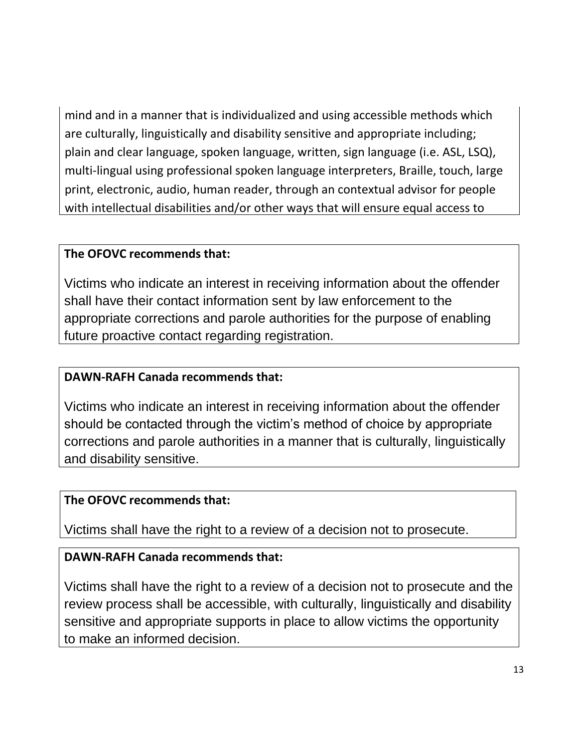mind and in a manner that is individualized and using accessible methods which are culturally, linguistically and disability sensitive and appropriate including; plain and clear language, spoken language, written, sign language (i.e. ASL, LSQ), multi-lingual using professional spoken language interpreters, Braille, touch, large print, electronic, audio, human reader, through an contextual advisor for people with intellectual disabilities and/or other ways that will ensure equal access to

# **The OFOVC recommends that:**

Victims who indicate an interest in receiving information about the offender shall have their contact information sent by law enforcement to the appropriate corrections and parole authorities for the purpose of enabling future proactive contact regarding registration.

# **DAWN-RAFH Canada recommends that:**

Victims who indicate an interest in receiving information about the offender should be contacted through the victim's method of choice by appropriate corrections and parole authorities in a manner that is culturally, linguistically and disability sensitive.

# **The OFOVC recommends that:**

Victims shall have the right to a review of a decision not to prosecute.

# **DAWN-RAFH Canada recommends that:**

Victims shall have the right to a review of a decision not to prosecute and the review process shall be accessible, with culturally, linguistically and disability sensitive and appropriate supports in place to allow victims the opportunity to make an informed decision.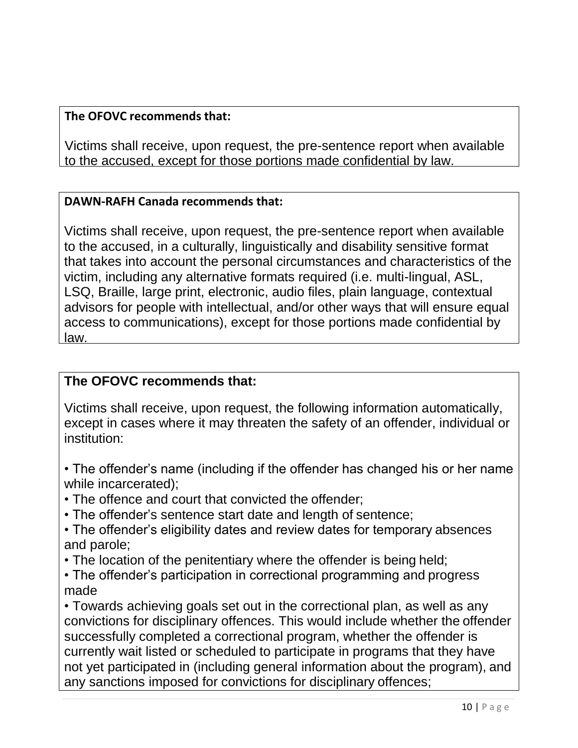Victims shall receive, upon request, the pre-sentence report when available to the accused, except for those portions made confidential by law.

### **DAWN-RAFH Canada recommends that:**

Victims shall receive, upon request, the pre-sentence report when available to the accused, in a culturally, linguistically and disability sensitive format that takes into account the personal circumstances and characteristics of the victim, including any alternative formats required (i.e. multi-lingual, ASL, LSQ, Braille, large print, electronic, audio files, plain language, contextual advisors for people with intellectual, and/or other ways that will ensure equal access to communications), except for those portions made confidential by law.

# **The OFOVC recommends that:**

Victims shall receive, upon request, the following information automatically, except in cases where it may threaten the safety of an offender, individual or institution:

- The offender's name (including if the offender has changed his or her name while incarcerated);
- The offence and court that convicted the offender;
- The offender's sentence start date and length of sentence;
- The offender's eligibility dates and review dates for temporary absences and parole;
- The location of the penitentiary where the offender is being held;
- The offender's participation in correctional programming and progress made

• Towards achieving goals set out in the correctional plan, as well as any convictions for disciplinary offences. This would include whether the offender successfully completed a correctional program, whether the offender is currently wait listed or scheduled to participate in programs that they have not yet participated in (including general information about the program), and any sanctions imposed for convictions for disciplinary offences;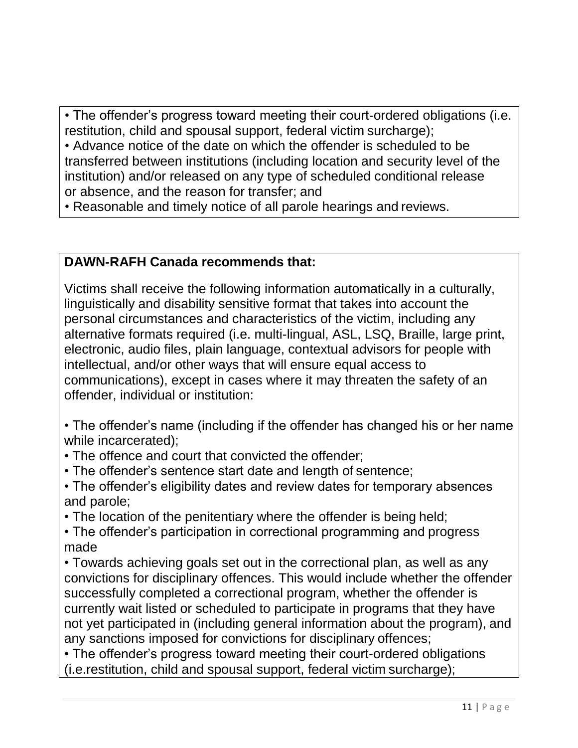• The offender's progress toward meeting their court-ordered obligations (i.e. restitution, child and spousal support, federal victim surcharge);

• Advance notice of the date on which the offender is scheduled to be transferred between institutions (including location and security level of the institution) and/or released on any type of scheduled conditional release or absence, and the reason for transfer; and

• Reasonable and timely notice of all parole hearings and reviews.

# **DAWN-RAFH Canada recommends that:**

Victims shall receive the following information automatically in a culturally, linguistically and disability sensitive format that takes into account the personal circumstances and characteristics of the victim, including any alternative formats required (i.e. multi-lingual, ASL, LSQ, Braille, large print, electronic, audio files, plain language, contextual advisors for people with intellectual, and/or other ways that will ensure equal access to communications), except in cases where it may threaten the safety of an offender, individual or institution:

• The offender's name (including if the offender has changed his or her name while incarcerated);

- The offence and court that convicted the offender;
- The offender's sentence start date and length of sentence;
- The offender's eligibility dates and review dates for temporary absences and parole;
- The location of the penitentiary where the offender is being held;
- The offender's participation in correctional programming and progress made

• Towards achieving goals set out in the correctional plan, as well as any convictions for disciplinary offences. This would include whether the offender successfully completed a correctional program, whether the offender is currently wait listed or scheduled to participate in programs that they have not yet participated in (including general information about the program), and any sanctions imposed for convictions for disciplinary offences;

• The offender's progress toward meeting their court-ordered obligations (i.e.restitution, child and spousal support, federal victim surcharge);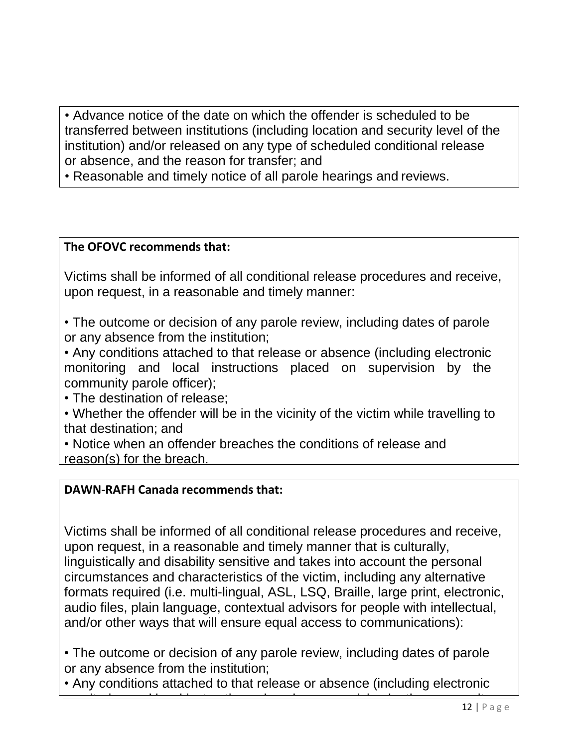• Advance notice of the date on which the offender is scheduled to be transferred between institutions (including location and security level of the institution) and/or released on any type of scheduled conditional release or absence, and the reason for transfer; and

• Reasonable and timely notice of all parole hearings and reviews.

# **The OFOVC recommends that:**

Victims shall be informed of all conditional release procedures and receive, upon request, in a reasonable and timely manner:

• The outcome or decision of any parole review, including dates of parole or any absence from the institution;

• Any conditions attached to that release or absence (including electronic monitoring and local instructions placed on supervision by the community parole officer);

• The destination of release;

• Whether the offender will be in the vicinity of the victim while travelling to that destination; and

• Notice when an offender breaches the conditions of release and reason(s) for the breach.

# **DAWN-RAFH Canada recommends that:**

Victims shall be informed of all conditional release procedures and receive, upon request, in a reasonable and timely manner that is culturally, linguistically and disability sensitive and takes into account the personal circumstances and characteristics of the victim, including any alternative formats required (i.e. multi-lingual, ASL, LSQ, Braille, large print, electronic, audio files, plain language, contextual advisors for people with intellectual, and/or other ways that will ensure equal access to communications):

• The outcome or decision of any parole review, including dates of parole or any absence from the institution;

• Any conditions attached to that release or absence (including electronic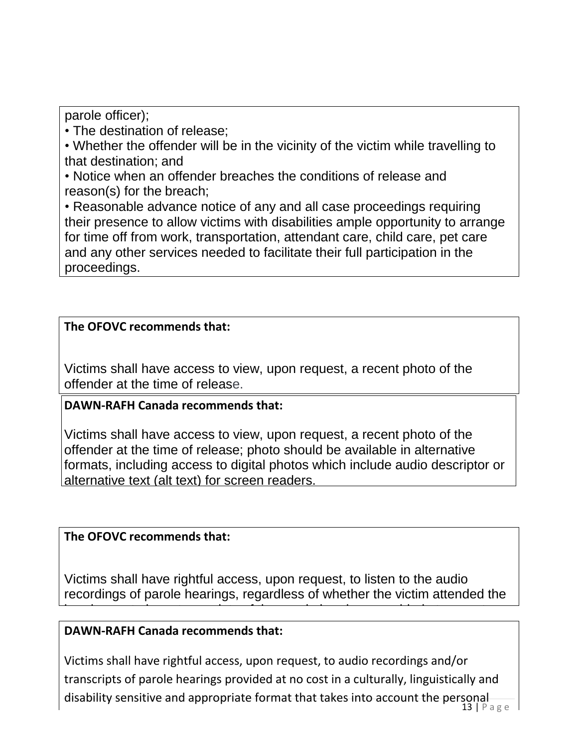parole officer);

• The destination of release;

• Whether the offender will be in the vicinity of the victim while travelling to that destination; and

• Notice when an offender breaches the conditions of release and reason(s) for the breach;

• Reasonable advance notice of any and all case proceedings requiring their presence to allow victims with disabilities ample opportunity to arrange for time off from work, transportation, attendant care, child care, pet care and any other services needed to facilitate their full participation in the proceedings.

# **The OFOVC recommends that:**

Victims shall have access to view, upon request, a recent photo of the offender at the time of release.

# **DAWN-RAFH Canada recommends that:**

Victims shall have access to view, upon request, a recent photo of the offender at the time of release; photo should be available in alternative formats, including access to digital photos which include audio descriptor or alternative text (alt text) for screen readers.

# **The OFOVC recommends that:**

Victims shall have rightful access, upon request, to listen to the audio recordings of parole hearings, regardless of whether the victim attended the

hearing, or to have transcripts of the parole hearings provided at no cost.

### **DAWN-RAFH Canada recommends that:**

Victims shall have rightful access, upon request, to audio recordings and/or transcripts of parole hearings provided at no cost in a culturally, linguistically and disability sensitive and appropriate format that takes into account the personal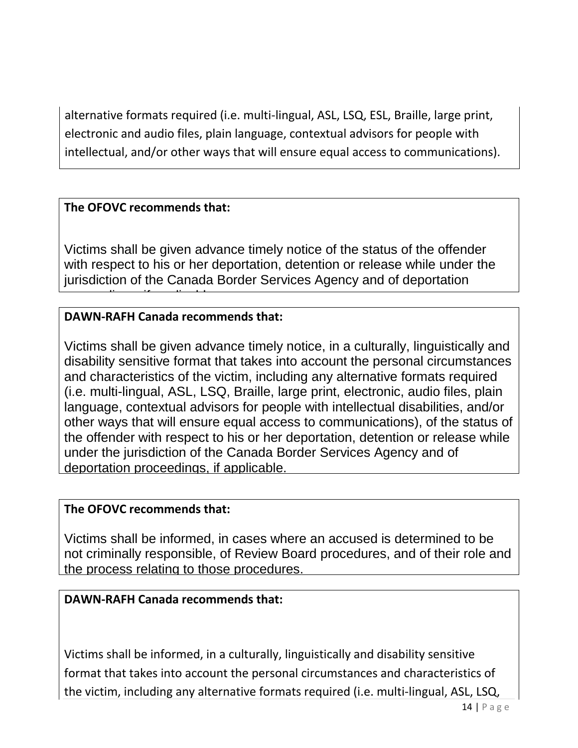alternative formats required (i.e. multi-lingual, ASL, LSQ, ESL, Braille, large print, electronic and audio files, plain language, contextual advisors for people with intellectual, and/or other ways that will ensure equal access to communications).

# **The OFOVC recommends that:**

proceedings, if applicable.

Victims shall be given advance timely notice of the status of the offender with respect to his or her deportation, detention or release while under the jurisdiction of the Canada Border Services Agency and of deportation

# **DAWN-RAFH Canada recommends that:**

Victims shall be given advance timely notice, in a culturally, linguistically and disability sensitive format that takes into account the personal circumstances and characteristics of the victim, including any alternative formats required (i.e. multi-lingual, ASL, LSQ, Braille, large print, electronic, audio files, plain language, contextual advisors for people with intellectual disabilities, and/or other ways that will ensure equal access to communications), of the status of the offender with respect to his or her deportation, detention or release while under the jurisdiction of the Canada Border Services Agency and of deportation proceedings, if applicable.

### **The OFOVC recommends that:**

Victims shall be informed, in cases where an accused is determined to be not criminally responsible, of Review Board procedures, and of their role and the process relating to those procedures.

### **DAWN-RAFH Canada recommends that:**

Victims shall be informed, in a culturally, linguistically and disability sensitive format that takes into account the personal circumstances and characteristics of the victim, including any alternative formats required (i.e. multi-lingual, ASL, LSQ,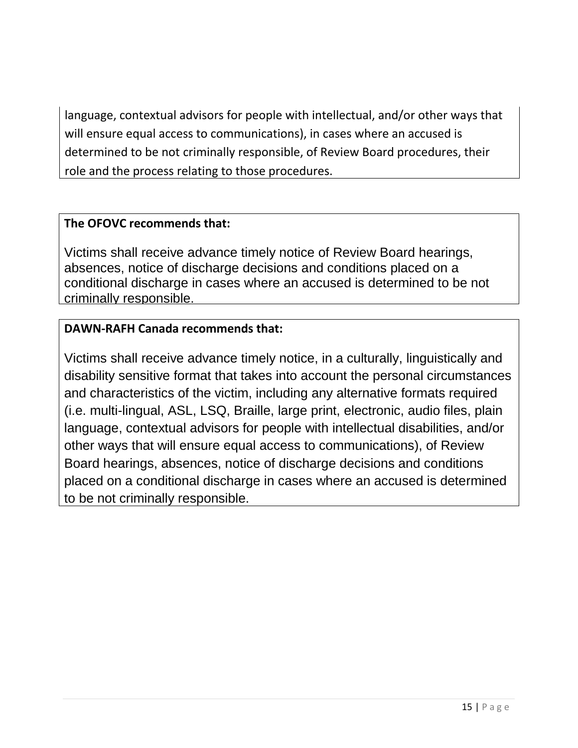language, contextual advisors for people with intellectual, and/or other ways that will ensure equal access to communications), in cases where an accused is determined to be not criminally responsible, of Review Board procedures, their role and the process relating to those procedures.

# **The OFOVC recommends that:**

Victims shall receive advance timely notice of Review Board hearings, absences, notice of discharge decisions and conditions placed on a conditional discharge in cases where an accused is determined to be not criminally responsible.

# **DAWN-RAFH Canada recommends that:**

Victims shall receive advance timely notice, in a culturally, linguistically and disability sensitive format that takes into account the personal circumstances and characteristics of the victim, including any alternative formats required (i.e. multi-lingual, ASL, LSQ, Braille, large print, electronic, audio files, plain language, contextual advisors for people with intellectual disabilities, and/or other ways that will ensure equal access to communications), of Review Board hearings, absences, notice of discharge decisions and conditions placed on a conditional discharge in cases where an accused is determined to be not criminally responsible.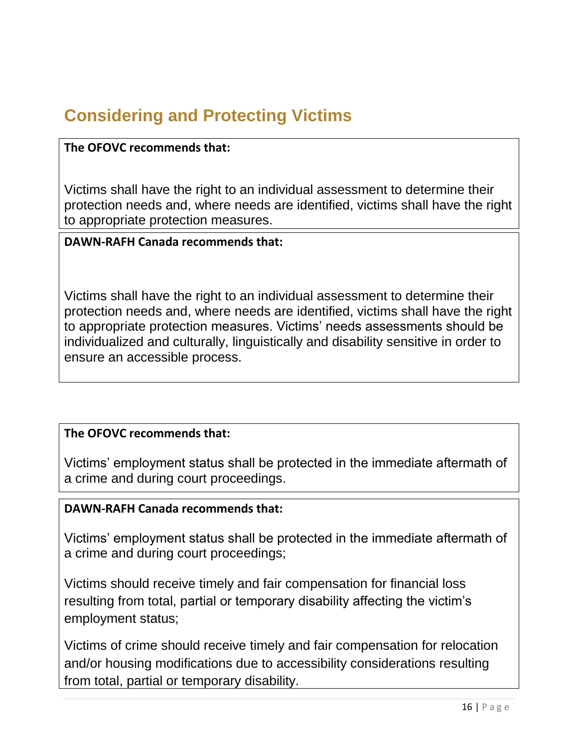# **Considering and Protecting Victims**

### **The OFOVC recommends that:**

Victims shall have the right to an individual assessment to determine their protection needs and, where needs are identified, victims shall have the right to appropriate protection measures.

### **DAWN-RAFH Canada recommends that:**

Victims shall have the right to an individual assessment to determine their protection needs and, where needs are identified, victims shall have the right to appropriate protection measures. Victims' needs assessments should be individualized and culturally, linguistically and disability sensitive in order to ensure an accessible process.

### **The OFOVC recommends that:**

Victims' employment status shall be protected in the immediate aftermath of a crime and during court proceedings.

### **DAWN-RAFH Canada recommends that:**

Victims' employment status shall be protected in the immediate aftermath of a crime and during court proceedings;

Victims should receive timely and fair compensation for financial loss resulting from total, partial or temporary disability affecting the victim's employment status;

Victims of crime should receive timely and fair compensation for relocation and/or housing modifications due to accessibility considerations resulting from total, partial or temporary disability.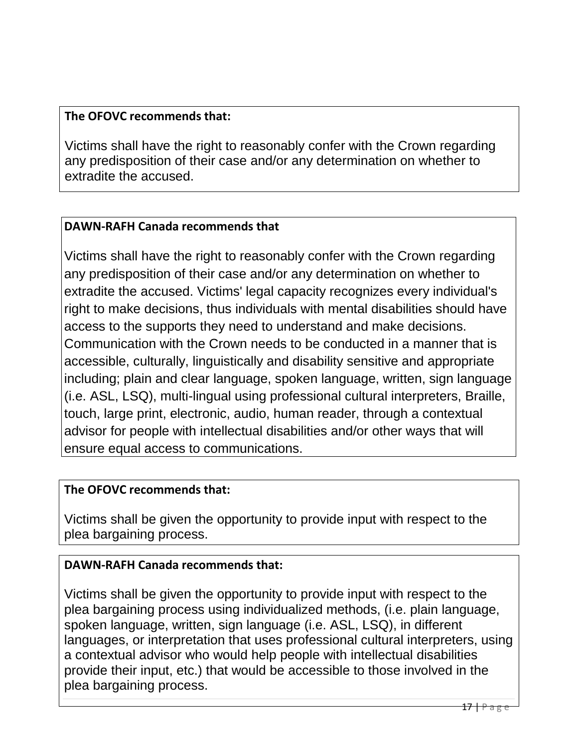Victims shall have the right to reasonably confer with the Crown regarding any predisposition of their case and/or any determination on whether to extradite the accused.

### **DAWN-RAFH Canada recommends that**

Victims shall have the right to reasonably confer with the Crown regarding any predisposition of their case and/or any determination on whether to extradite the accused. Victims' legal capacity recognizes every individual's right to make decisions, thus individuals with mental disabilities should have access to the supports they need to understand and make decisions. Communication with the Crown needs to be conducted in a manner that is accessible, culturally, linguistically and disability sensitive and appropriate including; plain and clear language, spoken language, written, sign language (i.e. ASL, LSQ), multi-lingual using professional cultural interpreters, Braille, touch, large print, electronic, audio, human reader, through a contextual advisor for people with intellectual disabilities and/or other ways that will ensure equal access to communications.

### **The OFOVC recommends that:**

Victims shall be given the opportunity to provide input with respect to the plea bargaining process.

# **DAWN-RAFH Canada recommends that:**

Victims shall be given the opportunity to provide input with respect to the plea bargaining process using individualized methods, (i.e. plain language, spoken language, written, sign language (i.e. ASL, LSQ), in different languages, or interpretation that uses professional cultural interpreters, using a contextual advisor who would help people with intellectual disabilities provide their input, etc.) that would be accessible to those involved in the plea bargaining process.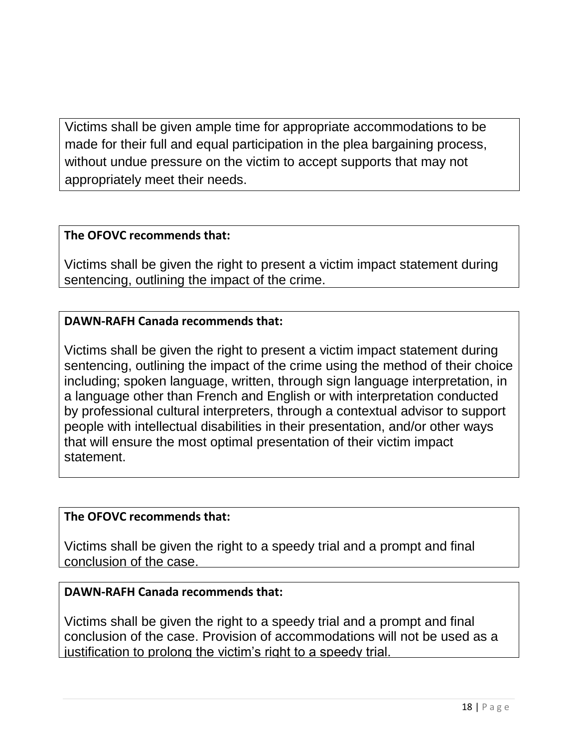Victims shall be given ample time for appropriate accommodations to be made for their full and equal participation in the plea bargaining process, without undue pressure on the victim to accept supports that may not appropriately meet their needs.

### **The OFOVC recommends that:**

Victims shall be given the right to present a victim impact statement during sentencing, outlining the impact of the crime.

# **DAWN-RAFH Canada recommends that:**

Victims shall be given the right to present a victim impact statement during sentencing, outlining the impact of the crime using the method of their choice including; spoken language, written, through sign language interpretation, in a language other than French and English or with interpretation conducted by professional cultural interpreters, through a contextual advisor to support people with intellectual disabilities in their presentation, and/or other ways that will ensure the most optimal presentation of their victim impact statement.

### **The OFOVC recommends that:**

Victims shall be given the right to a speedy trial and a prompt and final conclusion of the case.

### **DAWN-RAFH Canada recommends that:**

Victims shall be given the right to a speedy trial and a prompt and final conclusion of the case. Provision of accommodations will not be used as a justification to prolong the victim's right to a speedy trial.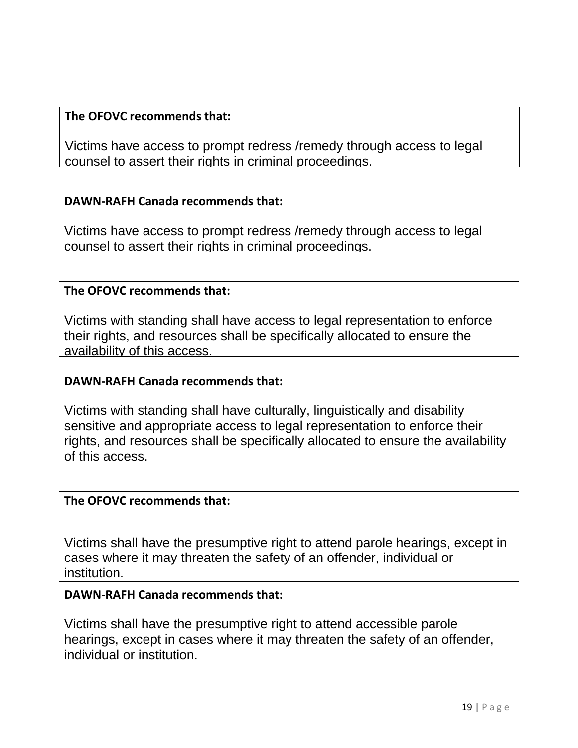Victims have access to prompt redress /remedy through access to legal counsel to assert their rights in criminal proceedings.

### **DAWN-RAFH Canada recommends that:**

Victims have access to prompt redress /remedy through access to legal counsel to assert their rights in criminal proceedings.

### **The OFOVC recommends that:**

Victims with standing shall have access to legal representation to enforce their rights, and resources shall be specifically allocated to ensure the availability of this access.

### **DAWN-RAFH Canada recommends that:**

Victims with standing shall have culturally, linguistically and disability sensitive and appropriate access to legal representation to enforce their rights, and resources shall be specifically allocated to ensure the availability of this access.

### **The OFOVC recommends that:**

Victims shall have the presumptive right to attend parole hearings, except in cases where it may threaten the safety of an offender, individual or institution.

### **DAWN-RAFH Canada recommends that:**

Victims shall have the presumptive right to attend accessible parole hearings, except in cases where it may threaten the safety of an offender, individual or institution.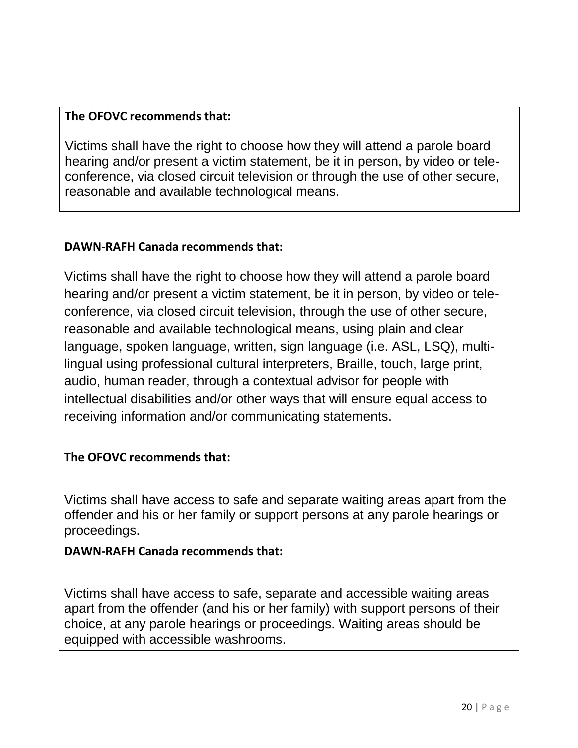Victims shall have the right to choose how they will attend a parole board hearing and/or present a victim statement, be it in person, by video or teleconference, via closed circuit television or through the use of other secure, reasonable and available technological means.

### **DAWN-RAFH Canada recommends that:**

Victims shall have the right to choose how they will attend a parole board hearing and/or present a victim statement, be it in person, by video or teleconference, via closed circuit television, through the use of other secure, reasonable and available technological means, using plain and clear language, spoken language, written, sign language (i.e. ASL, LSQ), multilingual using professional cultural interpreters, Braille, touch, large print, audio, human reader, through a contextual advisor for people with intellectual disabilities and/or other ways that will ensure equal access to receiving information and/or communicating statements.

### **The OFOVC recommends that:**

Victims shall have access to safe and separate waiting areas apart from the offender and his or her family or support persons at any parole hearings or proceedings.

### **DAWN-RAFH Canada recommends that:**

Victims shall have access to safe, separate and accessible waiting areas apart from the offender (and his or her family) with support persons of their choice, at any parole hearings or proceedings. Waiting areas should be equipped with accessible washrooms.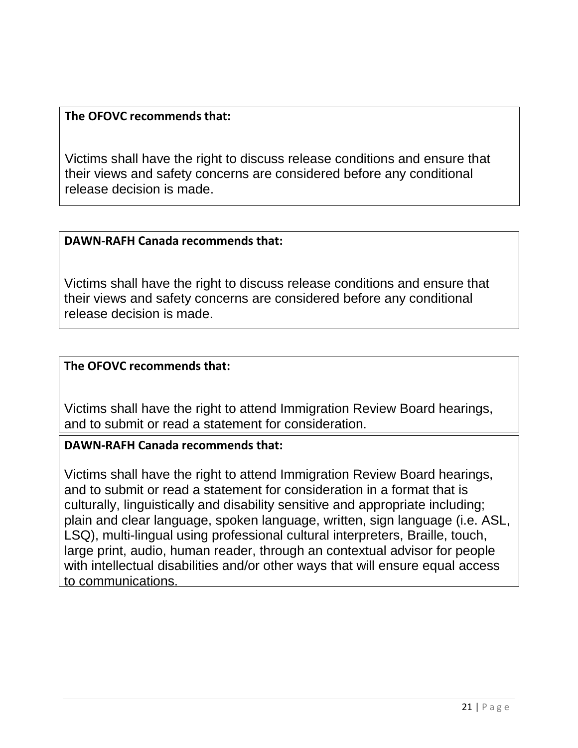Victims shall have the right to discuss release conditions and ensure that their views and safety concerns are considered before any conditional release decision is made.

### **DAWN-RAFH Canada recommends that:**

Victims shall have the right to discuss release conditions and ensure that their views and safety concerns are considered before any conditional release decision is made.

### **The OFOVC recommends that:**

Victims shall have the right to attend Immigration Review Board hearings, and to submit or read a statement for consideration.

### **DAWN-RAFH Canada recommends that:**

Victims shall have the right to attend Immigration Review Board hearings, and to submit or read a statement for consideration in a format that is culturally, linguistically and disability sensitive and appropriate including; plain and clear language, spoken language, written, sign language (i.e. ASL, LSQ), multi-lingual using professional cultural interpreters, Braille, touch, large print, audio, human reader, through an contextual advisor for people with intellectual disabilities and/or other ways that will ensure equal access to communications.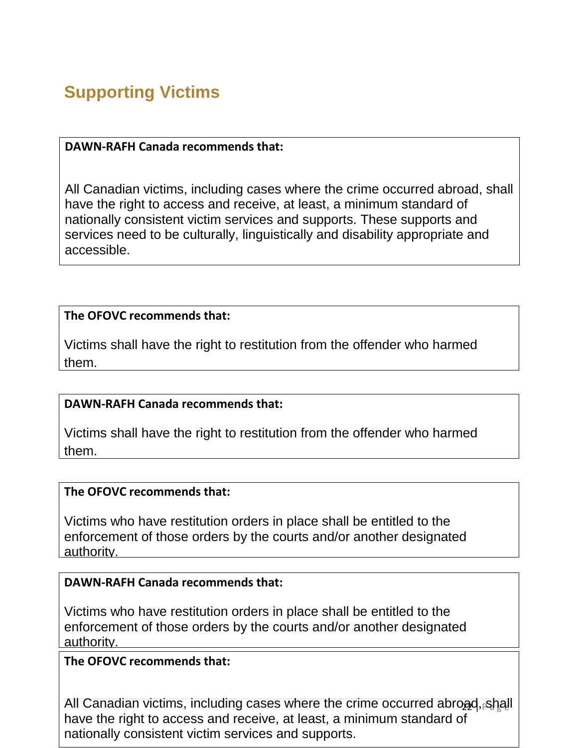# **Supporting Victims**

### **DAWN-RAFH Canada recommends that:**

All Canadian victims, including cases where the crime occurred abroad, shall have the right to access and receive, at least, a minimum standard of nationally consistent victim services and supports. These supports and services need to be culturally, linguistically and disability appropriate and accessible.

### **The OFOVC recommends that:**

Victims shall have the right to restitution from the offender who harmed them.

### **DAWN-RAFH Canada recommends that:**

Victims shall have the right to restitution from the offender who harmed them.

### **The OFOVC recommends that:**

Victims who have restitution orders in place shall be entitled to the enforcement of those orders by the courts and/or another designated authority.

### **DAWN-RAFH Canada recommends that:**

Victims who have restitution orders in place shall be entitled to the enforcement of those orders by the courts and/or another designated authority.

### **The OFOVC recommends that:**

All Canadian victims, including cases where the crime occurred abroad, shall have the right to access and receive, at least, a minimum standard of nationally consistent victim services and supports.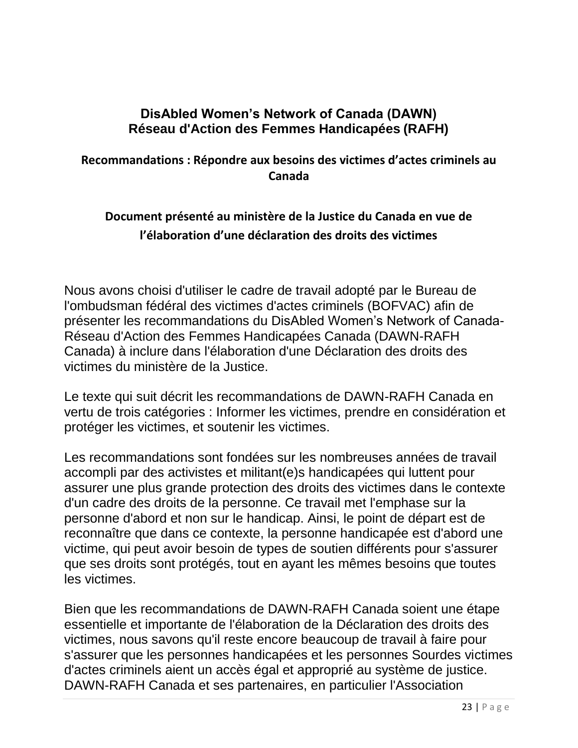# **DisAbled Women's Network of Canada (DAWN) Réseau d'Action des Femmes Handicapées (RAFH)**

# **Recommandations : Répondre aux besoins des victimes d'actes criminels au Canada**

# **Document présenté au ministère de la Justice du Canada en vue de l'élaboration d'une déclaration des droits des victimes**

Nous avons choisi d'utiliser le cadre de travail adopté par le Bureau de l'ombudsman fédéral des victimes d'actes criminels (BOFVAC) afin de présenter les recommandations du DisAbled Women's Network of Canada-Réseau d'Action des Femmes Handicapées Canada (DAWN-RAFH Canada) à inclure dans l'élaboration d'une Déclaration des droits des victimes du ministère de la Justice.

Le texte qui suit décrit les recommandations de DAWN-RAFH Canada en vertu de trois catégories : Informer les victimes, prendre en considération et protéger les victimes, et soutenir les victimes.

Les recommandations sont fondées sur les nombreuses années de travail accompli par des activistes et militant(e)s handicapées qui luttent pour assurer une plus grande protection des droits des victimes dans le contexte d'un cadre des droits de la personne. Ce travail met l'emphase sur la personne d'abord et non sur le handicap. Ainsi, le point de départ est de reconnaître que dans ce contexte, la personne handicapée est d'abord une victime, qui peut avoir besoin de types de soutien différents pour s'assurer que ses droits sont protégés, tout en ayant les mêmes besoins que toutes les victimes.

Bien que les recommandations de DAWN-RAFH Canada soient une étape essentielle et importante de l'élaboration de la Déclaration des droits des victimes, nous savons qu'il reste encore beaucoup de travail à faire pour s'assurer que les personnes handicapées et les personnes Sourdes victimes d'actes criminels aient un accès égal et approprié au système de justice. DAWN-RAFH Canada et ses partenaires, en particulier l'Association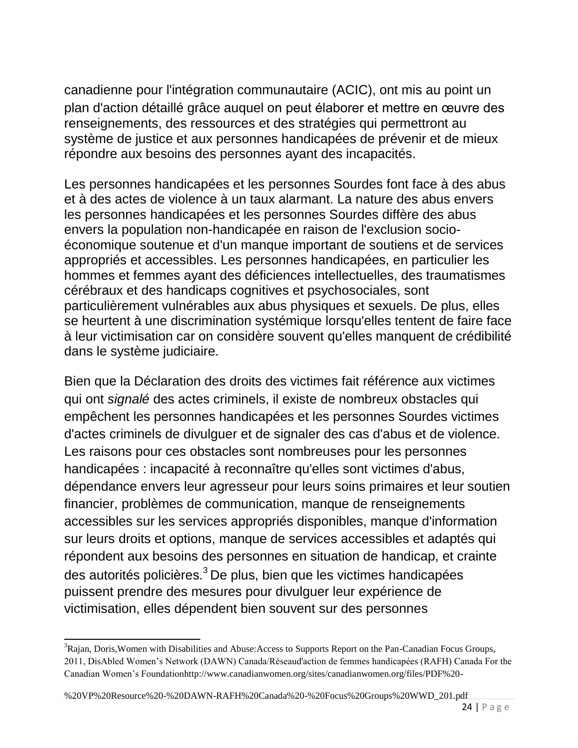canadienne pour l'intégration communautaire (ACIC), ont mis au point un plan d'action détaillé grâce auquel on peut élaborer et mettre en œuvre des renseignements, des ressources et des stratégies qui permettront au système de justice et aux personnes handicapées de prévenir et de mieux répondre aux besoins des personnes ayant des incapacités.

Les personnes handicapées et les personnes Sourdes font face à des abus et à des actes de violence à un taux alarmant. La nature des abus envers les personnes handicapées et les personnes Sourdes diffère des abus envers la population non-handicapée en raison de l'exclusion socioéconomique soutenue et d'un manque important de soutiens et de services appropriés et accessibles. Les personnes handicapées, en particulier les hommes et femmes ayant des déficiences intellectuelles, des traumatismes cérébraux et des handicaps cognitives et psychosociales, sont particulièrement vulnérables aux abus physiques et sexuels. De plus, elles se heurtent à une discrimination systémique lorsqu'elles tentent de faire face à leur victimisation car on considère souvent qu'elles manquent de crédibilité dans le système judiciaire.

Bien que la Déclaration des droits des victimes fait référence aux victimes qui ont *signalé* des actes criminels, il existe de nombreux obstacles qui empêchent les personnes handicapées et les personnes Sourdes victimes d'actes criminels de divulguer et de signaler des cas d'abus et de violence. Les raisons pour ces obstacles sont nombreuses pour les personnes handicapées : incapacité à reconnaître qu'elles sont victimes d'abus, dépendance envers leur agresseur pour leurs soins primaires et leur soutien financier, problèmes de communication, manque de renseignements accessibles sur les services appropriés disponibles, manque d'information sur leurs droits et options, manque de services accessibles et adaptés qui répondent aux besoins des personnes en situation de handicap, et crainte des autorités policières.<sup>3</sup> De plus, bien que les victimes handicapées puissent prendre des mesures pour divulguer leur expérience de victimisation, elles dépendent bien souvent sur des personnes

<sup>&</sup>lt;sup>3</sup>Rajan, Doris, Women with Disabilities and Abuse: Access to Supports Report on the Pan-Canadian Focus Groups, 2011, DisAbled Women's Network (DAWN) Canada/Réseaud'action de femmes handicapées (RAFH) Canada For the Canadian Women's Foundatio[nhttp://www.canadianwomen.org/sites/canadianwomen.org/files/PDF%20-](http://www.canadianwomen.org/sites/canadianwomen.org/files/PDF%20-)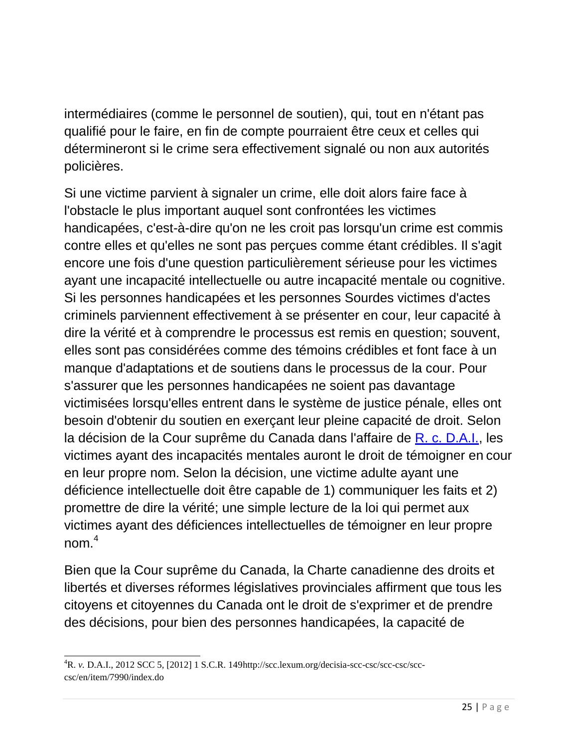intermédiaires (comme le personnel de soutien), qui, tout en n'étant pas qualifié pour le faire, en fin de compte pourraient être ceux et celles qui détermineront si le crime sera effectivement signalé ou non aux autorités policières.

Si une victime parvient à signaler un crime, elle doit alors faire face à l'obstacle le plus important auquel sont confrontées les victimes handicapées, c'est-à-dire qu'on ne les croit pas lorsqu'un crime est commis contre elles et qu'elles ne sont pas perçues comme étant crédibles. Il s'agit encore une fois d'une question particulièrement sérieuse pour les victimes ayant une incapacité intellectuelle ou autre incapacité mentale ou cognitive. Si les personnes handicapées et les personnes Sourdes victimes d'actes criminels parviennent effectivement à se présenter en cour, leur capacité à dire la vérité et à comprendre le processus est remis en question; souvent, elles sont pas considérées comme des témoins crédibles et font face à un manque d'adaptations et de soutiens dans le processus de la cour. Pour s'assurer que les personnes handicapées ne soient pas davantage victimisées lorsqu'elles entrent dans le système de justice pénale, elles ont besoin d'obtenir du soutien en exerçant leur pleine capacité de droit. Selon la décision de la Cour suprême du Canada dans l'affaire de [R. c. D.A.I.,](http://scc.lexum.org/decisia-scc-csc/scc-csc/scc-csc/en/item/7990/index.do) les victimes ayant des incapacités mentales auront le droit de témoigner en cour en leur propre nom. Selon la décision, une victime adulte ayant une déficience intellectuelle doit être capable de 1) communiquer les faits et 2) promettre de dire la vérité; une simple lecture de la loi qui permet aux victimes ayant des déficiences intellectuelles de témoigner en leur propre nom  $4$ 

Bien que la Cour suprême du Canada, la Charte canadienne des droits et libertés et diverses réformes législatives provinciales affirment que tous les citoyens et citoyennes du Canada ont le droit de s'exprimer et de prendre des décisions, pour bien des personnes handicapées, la capacité de

<sup>4</sup>R. *v.* D.A.I., 2012 SCC 5, [2012] 1 S.C.R. 14[9http://scc.lexum.org/decisia-scc-csc/scc-csc/scc](http://scc.lexum.org/decisia-scc-csc/scc-csc/scc-)csc/en/item/7990/index.do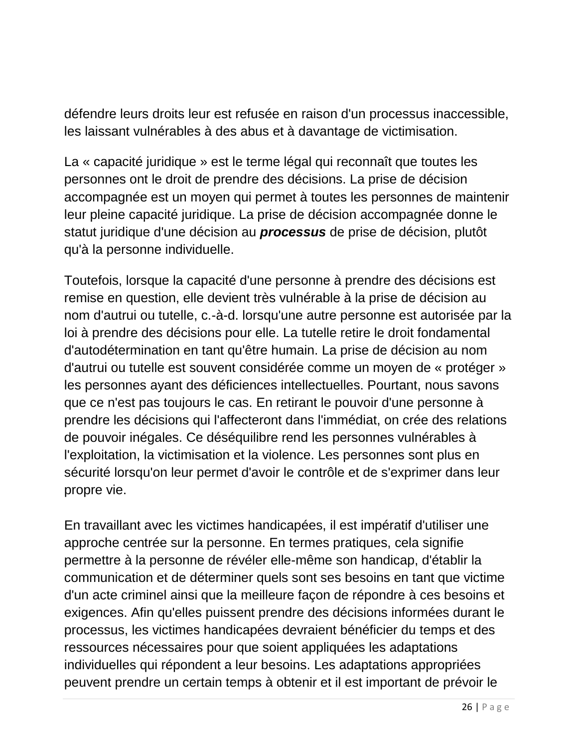défendre leurs droits leur est refusée en raison d'un processus inaccessible, les laissant vulnérables à des abus et à davantage de victimisation.

La « capacité juridique » est le terme légal qui reconnaît que toutes les personnes ont le droit de prendre des décisions. La prise de décision accompagnée est un moyen qui permet à toutes les personnes de maintenir leur pleine capacité juridique. La prise de décision accompagnée donne le statut juridique d'une décision au *processus* de prise de décision, plutôt qu'à la personne individuelle.

Toutefois, lorsque la capacité d'une personne à prendre des décisions est remise en question, elle devient très vulnérable à la prise de décision au nom d'autrui ou tutelle, c.-à-d. lorsqu'une autre personne est autorisée par la loi à prendre des décisions pour elle. La tutelle retire le droit fondamental d'autodétermination en tant qu'être humain. La prise de décision au nom d'autrui ou tutelle est souvent considérée comme un moyen de « protéger » les personnes ayant des déficiences intellectuelles. Pourtant, nous savons que ce n'est pas toujours le cas. En retirant le pouvoir d'une personne à prendre les décisions qui l'affecteront dans l'immédiat, on crée des relations de pouvoir inégales. Ce déséquilibre rend les personnes vulnérables à l'exploitation, la victimisation et la violence. Les personnes sont plus en sécurité lorsqu'on leur permet d'avoir le contrôle et de s'exprimer dans leur propre vie.

En travaillant avec les victimes handicapées, il est impératif d'utiliser une approche centrée sur la personne. En termes pratiques, cela signifie permettre à la personne de révéler elle-même son handicap, d'établir la communication et de déterminer quels sont ses besoins en tant que victime d'un acte criminel ainsi que la meilleure façon de répondre à ces besoins et exigences. Afin qu'elles puissent prendre des décisions informées durant le processus, les victimes handicapées devraient bénéficier du temps et des ressources nécessaires pour que soient appliquées les adaptations individuelles qui répondent a leur besoins. Les adaptations appropriées peuvent prendre un certain temps à obtenir et il est important de prévoir le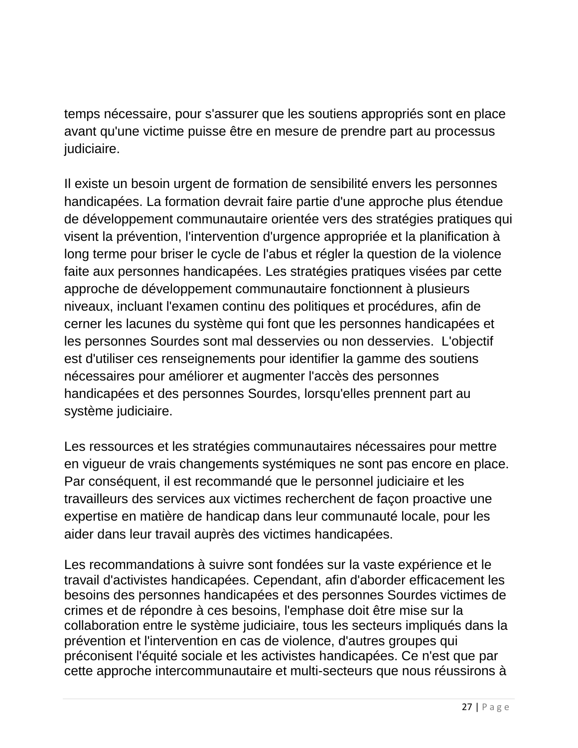temps nécessaire, pour s'assurer que les soutiens appropriés sont en place avant qu'une victime puisse être en mesure de prendre part au processus judiciaire.

Il existe un besoin urgent de formation de sensibilité envers les personnes handicapées. La formation devrait faire partie d'une approche plus étendue de développement communautaire orientée vers des stratégies pratiques qui visent la prévention, l'intervention d'urgence appropriée et la planification à long terme pour briser le cycle de l'abus et régler la question de la violence faite aux personnes handicapées. Les stratégies pratiques visées par cette approche de développement communautaire fonctionnent à plusieurs niveaux, incluant l'examen continu des politiques et procédures, afin de cerner les lacunes du système qui font que les personnes handicapées et les personnes Sourdes sont mal desservies ou non desservies. L'objectif est d'utiliser ces renseignements pour identifier la gamme des soutiens nécessaires pour améliorer et augmenter l'accès des personnes handicapées et des personnes Sourdes, lorsqu'elles prennent part au système judiciaire.

Les ressources et les stratégies communautaires nécessaires pour mettre en vigueur de vrais changements systémiques ne sont pas encore en place. Par conséquent, il est recommandé que le personnel judiciaire et les travailleurs des services aux victimes recherchent de façon proactive une expertise en matière de handicap dans leur communauté locale, pour les aider dans leur travail auprès des victimes handicapées.

Les recommandations à suivre sont fondées sur la vaste expérience et le travail d'activistes handicapées. Cependant, afin d'aborder efficacement les besoins des personnes handicapées et des personnes Sourdes victimes de crimes et de répondre à ces besoins, l'emphase doit être mise sur la collaboration entre le système judiciaire, tous les secteurs impliqués dans la prévention et l'intervention en cas de violence, d'autres groupes qui préconisent l'équité sociale et les activistes handicapées. Ce n'est que par cette approche intercommunautaire et multi-secteurs que nous réussirons à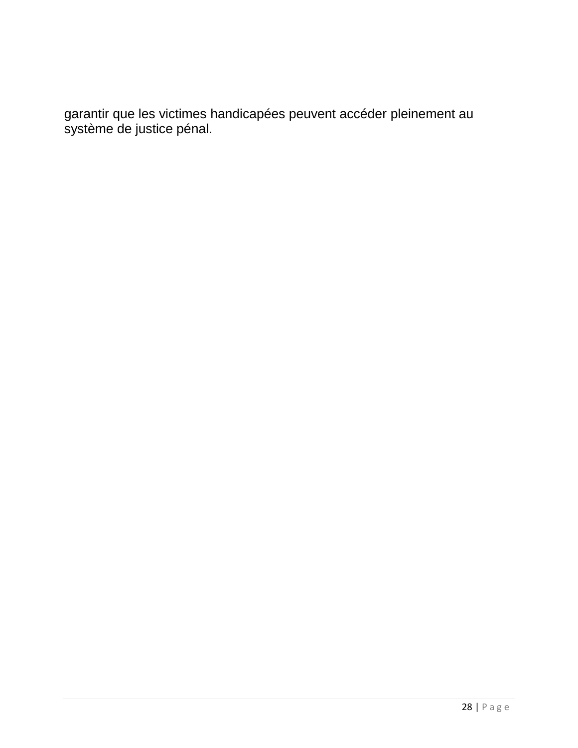garantir que les victimes handicapées peuvent accéder pleinement au système de justice pénal.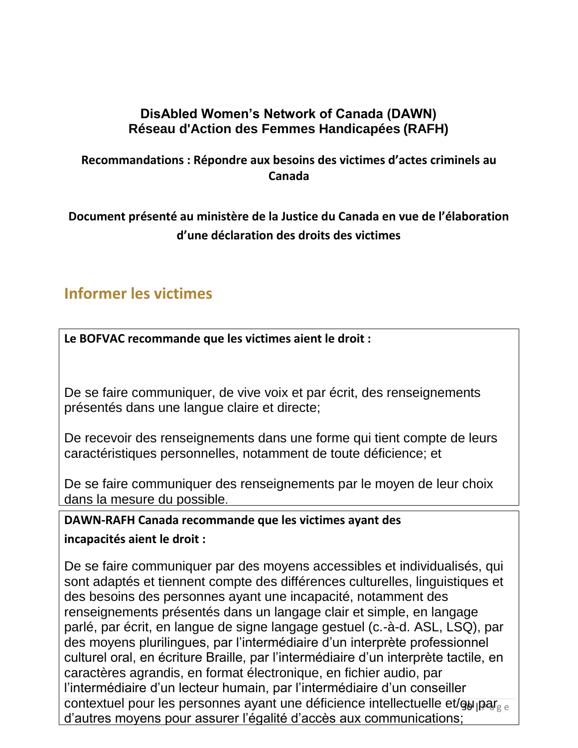# **DisAbled Women's Network of Canada (DAWN) Réseau d'Action des Femmes Handicapées (RAFH)**

# **Recommandations : Répondre aux besoins des victimes d'actes criminels au Canada**

# **Document présenté au ministère de la Justice du Canada en vue de l'élaboration d'une déclaration des droits des victimes**

# **Informer les victimes**

**Le BOFVAC recommande que les victimes aient le droit :**

De se faire communiquer, de vive voix et par écrit, des renseignements présentés dans une langue claire et directe;

De recevoir des renseignements dans une forme qui tient compte de leurs caractéristiques personnelles, notamment de toute déficience; et

De se faire communiquer des renseignements par le moyen de leur choix dans la mesure du possible.

# **DAWN-RAFH Canada recommande que les victimes ayant des incapacités aient le droit :**

contextuel pour les personnes ayant une déficience intellectuelle et/ǥ<sub>ol l</sub>par<sub>g e</sub> De se faire communiquer par des moyens accessibles et individualisés, qui sont adaptés et tiennent compte des différences culturelles, linguistiques et des besoins des personnes ayant une incapacité, notamment des renseignements présentés dans un langage clair et simple, en langage parlé, par écrit, en langue de signe langage gestuel (c.-à-d. ASL, LSQ), par des moyens plurilingues, par l'intermédiaire d'un interprète professionnel culturel oral, en écriture Braille, par l'intermédiaire d'un interprète tactile, en caractères agrandis, en format électronique, en fichier audio, par l'intermédiaire d'un lecteur humain, par l'intermédiaire d'un conseiller d'autres moyens pour assurer l'égalité d'accès aux communications;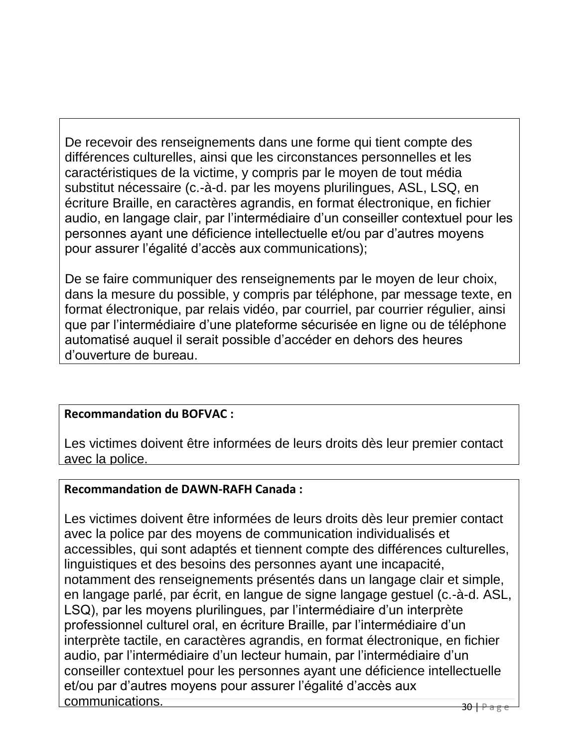De recevoir des renseignements dans une forme qui tient compte des différences culturelles, ainsi que les circonstances personnelles et les caractéristiques de la victime, y compris par le moyen de tout média substitut nécessaire (c.-à-d. par les moyens plurilingues, ASL, LSQ, en écriture Braille, en caractères agrandis, en format électronique, en fichier audio, en langage clair, par l'intermédiaire d'un conseiller contextuel pour les personnes ayant une déficience intellectuelle et/ou par d'autres moyens pour assurer l'égalité d'accès aux communications);

De se faire communiquer des renseignements par le moyen de leur choix, dans la mesure du possible, y compris par téléphone, par message texte, en format électronique, par relais vidéo, par courriel, par courrier régulier, ainsi que par l'intermédiaire d'une plateforme sécurisée en ligne ou de téléphone automatisé auquel il serait possible d'accéder en dehors des heures d'ouverture de bureau.

# **Recommandation du BOFVAC :**

Les victimes doivent être informées de leurs droits dès leur premier contact avec la police.

# **Recommandation de DAWN-RAFH Canada :**

Les victimes doivent être informées de leurs droits dès leur premier contact avec la police par des moyens de communication individualisés et accessibles, qui sont adaptés et tiennent compte des différences culturelles, linguistiques et des besoins des personnes ayant une incapacité, notamment des renseignements présentés dans un langage clair et simple, en langage parlé, par écrit, en langue de signe langage gestuel (c.-à-d. ASL, LSQ), par les moyens plurilingues, par l'intermédiaire d'un interprète professionnel culturel oral, en écriture Braille, par l'intermédiaire d'un interprète tactile, en caractères agrandis, en format électronique, en fichier audio, par l'intermédiaire d'un lecteur humain, par l'intermédiaire d'un conseiller contextuel pour les personnes ayant une déficience intellectuelle et/ou par d'autres moyens pour assurer l'égalité d'accès aux communications.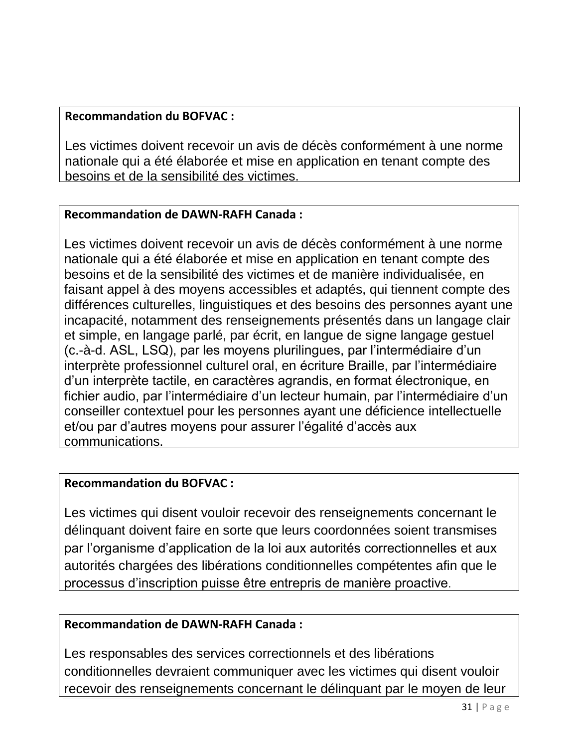### **Recommandation du BOFVAC :**

Les victimes doivent recevoir un avis de décès conformément à une norme nationale qui a été élaborée et mise en application en tenant compte des besoins et de la sensibilité des victimes.

### **Recommandation de DAWN-RAFH Canada :**

Les victimes doivent recevoir un avis de décès conformément à une norme nationale qui a été élaborée et mise en application en tenant compte des besoins et de la sensibilité des victimes et de manière individualisée, en faisant appel à des moyens accessibles et adaptés, qui tiennent compte des différences culturelles, linguistiques et des besoins des personnes ayant une incapacité, notamment des renseignements présentés dans un langage clair et simple, en langage parlé, par écrit, en langue de signe langage gestuel (c.-à-d. ASL, LSQ), par les moyens plurilingues, par l'intermédiaire d'un interprète professionnel culturel oral, en écriture Braille, par l'intermédiaire d'un interprète tactile, en caractères agrandis, en format électronique, en fichier audio, par l'intermédiaire d'un lecteur humain, par l'intermédiaire d'un conseiller contextuel pour les personnes ayant une déficience intellectuelle et/ou par d'autres moyens pour assurer l'égalité d'accès aux communications.

### **Recommandation du BOFVAC :**

Les victimes qui disent vouloir recevoir des renseignements concernant le délinquant doivent faire en sorte que leurs coordonnées soient transmises par l'organisme d'application de la loi aux autorités correctionnelles et aux autorités chargées des libérations conditionnelles compétentes afin que le processus d'inscription puisse être entrepris de manière proactive.

### **Recommandation de DAWN-RAFH Canada :**

Les responsables des services correctionnels et des libérations conditionnelles devraient communiquer avec les victimes qui disent vouloir recevoir des renseignements concernant le délinquant par le moyen de leur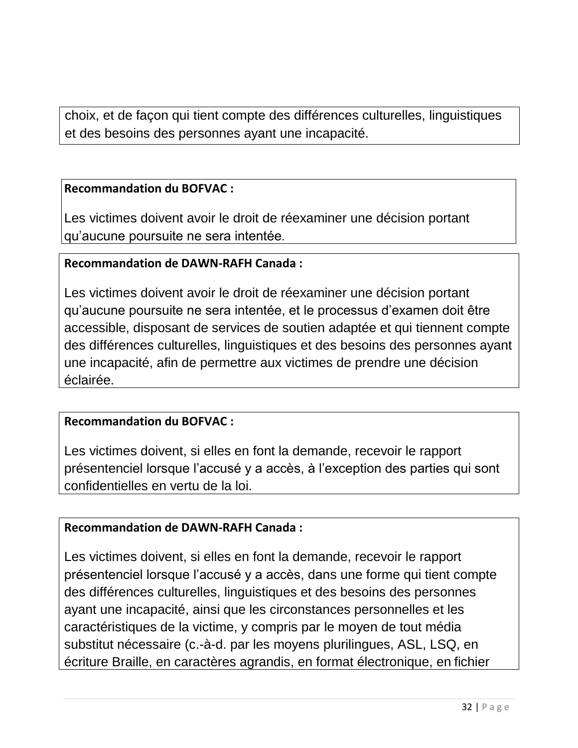choix, et de façon qui tient compte des différences culturelles, linguistiques et des besoins des personnes ayant une incapacité.

### **Recommandation du BOFVAC :**

Les victimes doivent avoir le droit de réexaminer une décision portant qu'aucune poursuite ne sera intentée.

### **Recommandation de DAWN-RAFH Canada :**

Les victimes doivent avoir le droit de réexaminer une décision portant qu'aucune poursuite ne sera intentée, et le processus d'examen doit être accessible, disposant de services de soutien adaptée et qui tiennent compte des différences culturelles, linguistiques et des besoins des personnes ayant une incapacité, afin de permettre aux victimes de prendre une décision éclairée.

### **Recommandation du BOFVAC :**

Les victimes doivent, si elles en font la demande, recevoir le rapport présentenciel lorsque l'accusé y a accès, à l'exception des parties qui sont confidentielles en vertu de la loi.

### **Recommandation de DAWN-RAFH Canada :**

Les victimes doivent, si elles en font la demande, recevoir le rapport présentenciel lorsque l'accusé y a accès, dans une forme qui tient compte des différences culturelles, linguistiques et des besoins des personnes ayant une incapacité, ainsi que les circonstances personnelles et les caractéristiques de la victime, y compris par le moyen de tout média substitut nécessaire (c.-à-d. par les moyens plurilingues, ASL, LSQ, en écriture Braille, en caractères agrandis, en format électronique, en fichier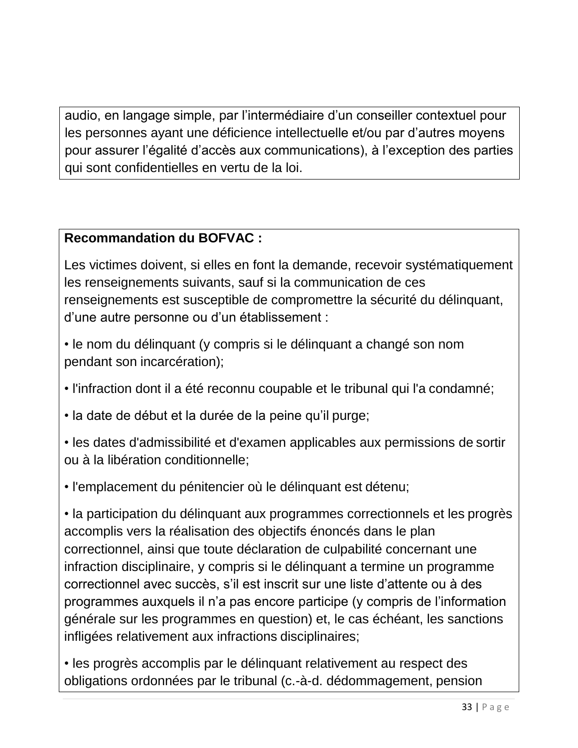audio, en langage simple, par l'intermédiaire d'un conseiller contextuel pour les personnes ayant une déficience intellectuelle et/ou par d'autres moyens pour assurer l'égalité d'accès aux communications), à l'exception des parties qui sont confidentielles en vertu de la loi.

# **Recommandation du BOFVAC :**

Les victimes doivent, si elles en font la demande, recevoir systématiquement les renseignements suivants, sauf si la communication de ces renseignements est susceptible de compromettre la sécurité du délinquant, d'une autre personne ou d'un établissement :

• le nom du délinquant (y compris si le délinquant a changé son nom pendant son incarcération);

• l'infraction dont il a été reconnu coupable et le tribunal qui l'a condamné;

• la date de début et la durée de la peine qu'il purge;

• les dates d'admissibilité et d'examen applicables aux permissions de sortir ou à la libération conditionnelle;

• l'emplacement du pénitencier où le délinquant est détenu;

• la participation du délinquant aux programmes correctionnels et les progrès accomplis vers la réalisation des objectifs énoncés dans le plan correctionnel, ainsi que toute déclaration de culpabilité concernant une infraction disciplinaire, y compris si le délinquant a termine un programme correctionnel avec succès, s'il est inscrit sur une liste d'attente ou à des programmes auxquels il n'a pas encore participe (y compris de l'information générale sur les programmes en question) et, le cas échéant, les sanctions infligées relativement aux infractions disciplinaires;

• les progrès accomplis par le délinquant relativement au respect des obligations ordonnées par le tribunal (c.-à-d. dédommagement, pension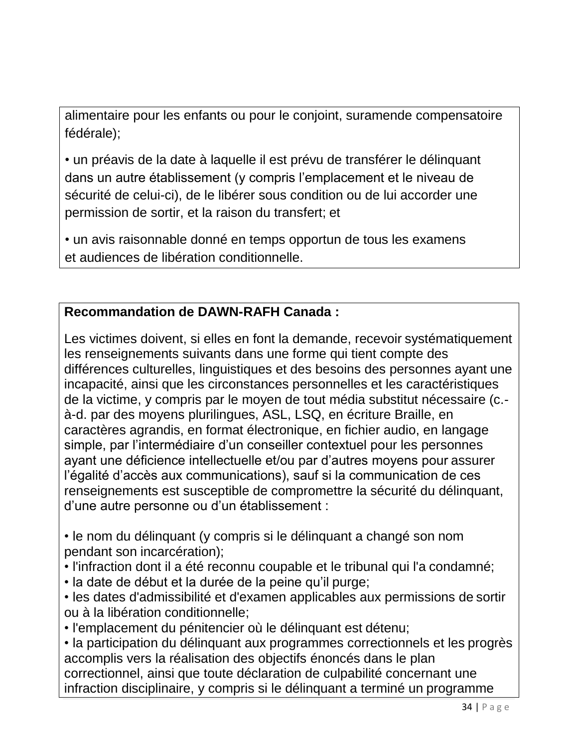alimentaire pour les enfants ou pour le conjoint, suramende compensatoire fédérale);

• un préavis de la date à laquelle il est prévu de transférer le délinquant dans un autre établissement (y compris l'emplacement et le niveau de sécurité de celui-ci), de le libérer sous condition ou de lui accorder une permission de sortir, et la raison du transfert; et

• un avis raisonnable donné en temps opportun de tous les examens et audiences de libération conditionnelle.

# **Recommandation de DAWN-RAFH Canada :**

Les victimes doivent, si elles en font la demande, recevoir systématiquement les renseignements suivants dans une forme qui tient compte des différences culturelles, linguistiques et des besoins des personnes ayant une incapacité, ainsi que les circonstances personnelles et les caractéristiques de la victime, y compris par le moyen de tout média substitut nécessaire (c. à-d. par des moyens plurilingues, ASL, LSQ, en écriture Braille, en caractères agrandis, en format électronique, en fichier audio, en langage simple, par l'intermédiaire d'un conseiller contextuel pour les personnes ayant une déficience intellectuelle et/ou par d'autres moyens pour assurer l'égalité d'accès aux communications), sauf si la communication de ces renseignements est susceptible de compromettre la sécurité du délinquant, d'une autre personne ou d'un établissement :

• le nom du délinquant (y compris si le délinquant a changé son nom pendant son incarcération);

- l'infraction dont il a été reconnu coupable et le tribunal qui l'a condamné;
- la date de début et la durée de la peine qu'il purge;
- les dates d'admissibilité et d'examen applicables aux permissions de sortir ou à la libération conditionnelle;
- l'emplacement du pénitencier où le délinquant est détenu;

• la participation du délinquant aux programmes correctionnels et les progrès accomplis vers la réalisation des objectifs énoncés dans le plan correctionnel, ainsi que toute déclaration de culpabilité concernant une infraction disciplinaire, y compris si le délinquant a terminé un programme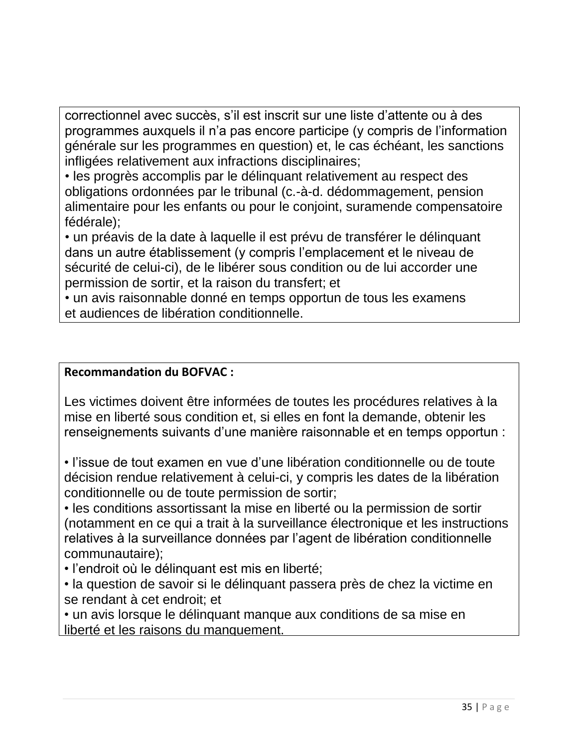correctionnel avec succès, s'il est inscrit sur une liste d'attente ou à des programmes auxquels il n'a pas encore participe (y compris de l'information générale sur les programmes en question) et, le cas échéant, les sanctions infligées relativement aux infractions disciplinaires;

• les progrès accomplis par le délinquant relativement au respect des obligations ordonnées par le tribunal (c.-à-d. dédommagement, pension alimentaire pour les enfants ou pour le conjoint, suramende compensatoire fédérale);

• un préavis de la date à laquelle il est prévu de transférer le délinquant dans un autre établissement (y compris l'emplacement et le niveau de sécurité de celui-ci), de le libérer sous condition ou de lui accorder une permission de sortir, et la raison du transfert; et

• un avis raisonnable donné en temps opportun de tous les examens et audiences de libération conditionnelle.

### **Recommandation du BOFVAC :**

Les victimes doivent être informées de toutes les procédures relatives à la mise en liberté sous condition et, si elles en font la demande, obtenir les renseignements suivants d'une manière raisonnable et en temps opportun :

• l'issue de tout examen en vue d'une libération conditionnelle ou de toute décision rendue relativement à celui-ci, y compris les dates de la libération conditionnelle ou de toute permission de sortir;

• les conditions assortissant la mise en liberté ou la permission de sortir (notamment en ce qui a trait à la surveillance électronique et les instructions relatives à la surveillance données par l'agent de libération conditionnelle communautaire);

• l'endroit où le délinquant est mis en liberté;

• la question de savoir si le délinquant passera près de chez la victime en se rendant à cet endroit; et

• un avis lorsque le délinquant manque aux conditions de sa mise en liberté et les raisons du manquement.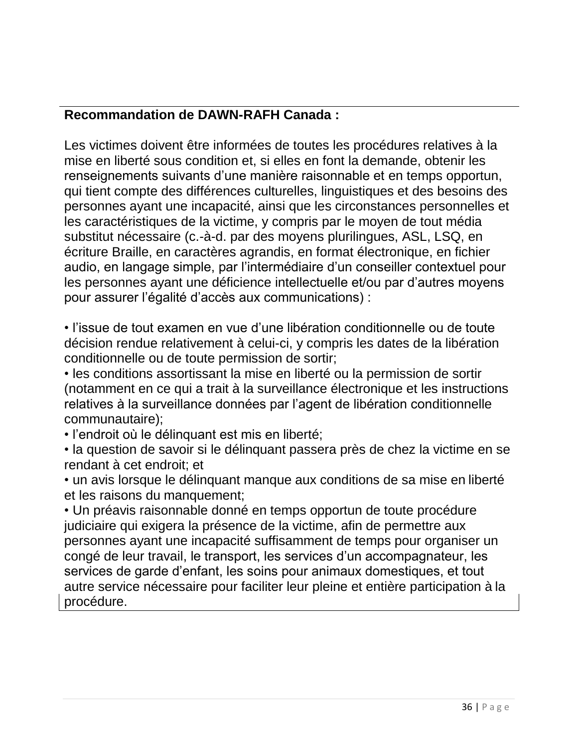# **Recommandation de DAWN-RAFH Canada :**

Les victimes doivent être informées de toutes les procédures relatives à la mise en liberté sous condition et, si elles en font la demande, obtenir les renseignements suivants d'une manière raisonnable et en temps opportun, qui tient compte des différences culturelles, linguistiques et des besoins des personnes ayant une incapacité, ainsi que les circonstances personnelles et les caractéristiques de la victime, y compris par le moyen de tout média substitut nécessaire (c.-à-d. par des moyens plurilingues, ASL, LSQ, en écriture Braille, en caractères agrandis, en format électronique, en fichier audio, en langage simple, par l'intermédiaire d'un conseiller contextuel pour les personnes ayant une déficience intellectuelle et/ou par d'autres moyens pour assurer l'égalité d'accès aux communications) :

• l'issue de tout examen en vue d'une libération conditionnelle ou de toute décision rendue relativement à celui-ci, y compris les dates de la libération conditionnelle ou de toute permission de sortir;

• les conditions assortissant la mise en liberté ou la permission de sortir (notamment en ce qui a trait à la surveillance électronique et les instructions relatives à la surveillance données par l'agent de libération conditionnelle communautaire);

• l'endroit où le délinquant est mis en liberté;

• la question de savoir si le délinquant passera près de chez la victime en se rendant à cet endroit; et

• un avis lorsque le délinquant manque aux conditions de sa mise en liberté et les raisons du manquement;

• Un préavis raisonnable donné en temps opportun de toute procédure judiciaire qui exigera la présence de la victime, afin de permettre aux personnes ayant une incapacité suffisamment de temps pour organiser un congé de leur travail, le transport, les services d'un accompagnateur, les services de garde d'enfant, les soins pour animaux domestiques, et tout autre service nécessaire pour faciliter leur pleine et entière participation à la procédure.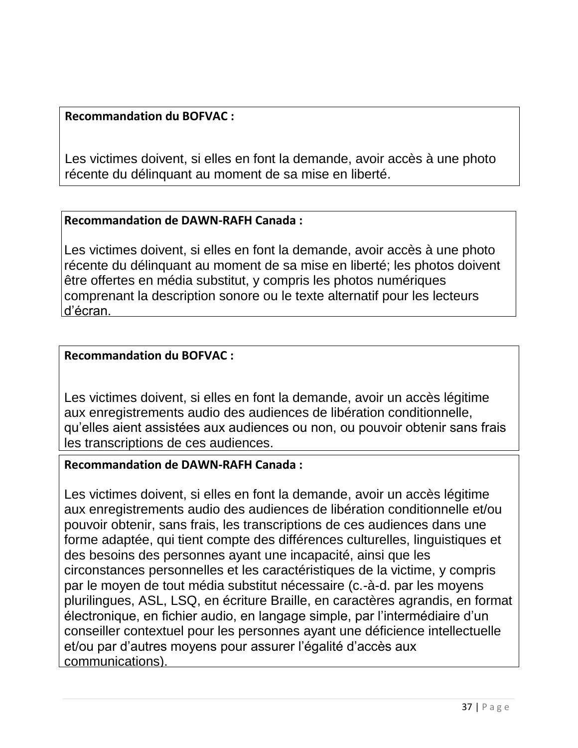### **Recommandation du BOFVAC :**

Les victimes doivent, si elles en font la demande, avoir accès à une photo récente du délinquant au moment de sa mise en liberté.

### **Recommandation de DAWN-RAFH Canada :**

Les victimes doivent, si elles en font la demande, avoir accès à une photo récente du délinquant au moment de sa mise en liberté; les photos doivent être offertes en média substitut, y compris les photos numériques comprenant la description sonore ou le texte alternatif pour les lecteurs d'écran.

### **Recommandation du BOFVAC :**

Les victimes doivent, si elles en font la demande, avoir un accès légitime aux enregistrements audio des audiences de libération conditionnelle, qu'elles aient assistées aux audiences ou non, ou pouvoir obtenir sans frais les transcriptions de ces audiences.

# **Recommandation de DAWN-RAFH Canada :**

Les victimes doivent, si elles en font la demande, avoir un accès légitime aux enregistrements audio des audiences de libération conditionnelle et/ou pouvoir obtenir, sans frais, les transcriptions de ces audiences dans une forme adaptée, qui tient compte des différences culturelles, linguistiques et des besoins des personnes ayant une incapacité, ainsi que les circonstances personnelles et les caractéristiques de la victime, y compris par le moyen de tout média substitut nécessaire (c.-à-d. par les moyens plurilingues, ASL, LSQ, en écriture Braille, en caractères agrandis, en format électronique, en fichier audio, en langage simple, par l'intermédiaire d'un conseiller contextuel pour les personnes ayant une déficience intellectuelle et/ou par d'autres moyens pour assurer l'égalité d'accès aux communications).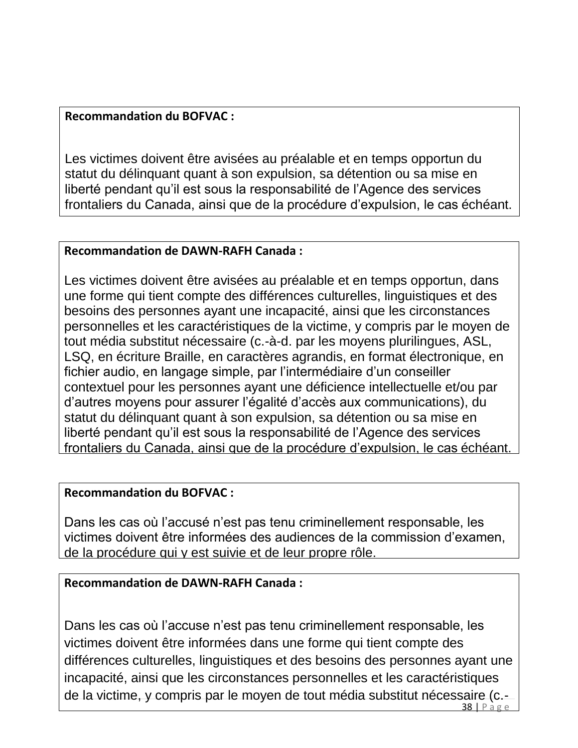### **Recommandation du BOFVAC :**

Les victimes doivent être avisées au préalable et en temps opportun du statut du délinquant quant à son expulsion, sa détention ou sa mise en liberté pendant qu'il est sous la responsabilité de l'Agence des services frontaliers du Canada, ainsi que de la procédure d'expulsion, le cas échéant.

### **Recommandation de DAWN-RAFH Canada :**

Les victimes doivent être avisées au préalable et en temps opportun, dans une forme qui tient compte des différences culturelles, linguistiques et des besoins des personnes ayant une incapacité, ainsi que les circonstances personnelles et les caractéristiques de la victime, y compris par le moyen de tout média substitut nécessaire (c.-à-d. par les moyens plurilingues, ASL, LSQ, en écriture Braille, en caractères agrandis, en format électronique, en fichier audio, en langage simple, par l'intermédiaire d'un conseiller contextuel pour les personnes ayant une déficience intellectuelle et/ou par d'autres moyens pour assurer l'égalité d'accès aux communications), du statut du délinquant quant à son expulsion, sa détention ou sa mise en liberté pendant qu'il est sous la responsabilité de l'Agence des services frontaliers du Canada, ainsi que de la procédure d'expulsion, le cas échéant.

### **Recommandation du BOFVAC :**

Dans les cas où l'accusé n'est pas tenu criminellement responsable, les victimes doivent être informées des audiences de la commission d'examen, de la procédure qui y est suivie et de leur propre rôle.

### **Recommandation de DAWN-RAFH Canada :**

Dans les cas où l'accuse n'est pas tenu criminellement responsable, les victimes doivent être informées dans une forme qui tient compte des différences culturelles, linguistiques et des besoins des personnes ayant une incapacité, ainsi que les circonstances personnelles et les caractéristiques de la victime, y compris par le moyen de tout média substitut nécessaire (c.-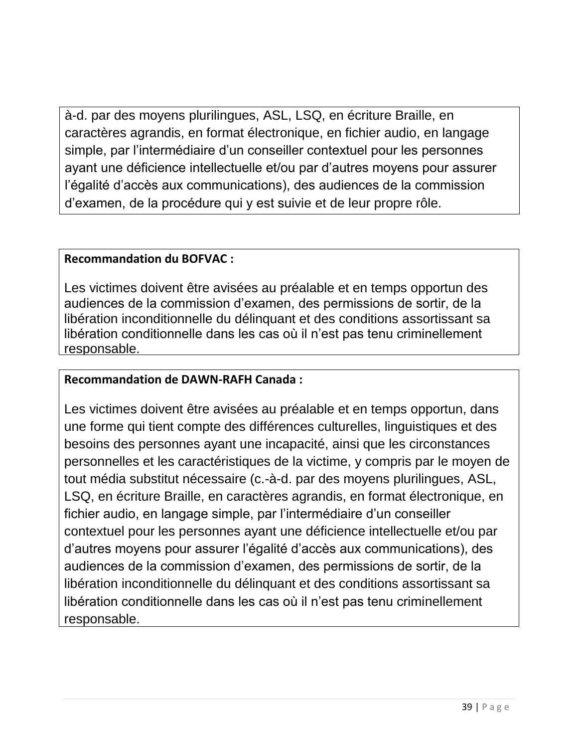à-d. par des moyens plurilingues, ASL, LSQ, en écriture Braille, en caractères agrandis, en format électronique, en fichier audio, en langage simple, par l'intermédiaire d'un conseiller contextuel pour les personnes ayant une déficience intellectuelle et/ou par d'autres moyens pour assurer l'égalité d'accès aux communications), des audiences de la commission d'examen, de la procédure qui y est suivie et de leur propre rôle.

### **Recommandation du BOFVAC :**

Les victimes doivent être avisées au préalable et en temps opportun des audiences de la commission d'examen, des permissions de sortir, de la libération inconditionnelle du délinquant et des conditions assortissant sa libération conditionnelle dans les cas où il n'est pas tenu criminellement responsable.

### **Recommandation de DAWN-RAFH Canada :**

Les victimes doivent être avisées au préalable et en temps opportun, dans une forme qui tient compte des différences culturelles, linguistiques et des besoins des personnes ayant une incapacité, ainsi que les circonstances personnelles et les caractéristiques de la victime, y compris par le moyen de tout média substitut nécessaire (c.-à-d. par des moyens plurilingues, ASL, LSQ, en écriture Braille, en caractères agrandis, en format électronique, en fichier audio, en langage simple, par l'intermédiaire d'un conseiller contextuel pour les personnes ayant une déficience intellectuelle et/ou par d'autres moyens pour assurer l'égalité d'accès aux communications), des audiences de la commission d'examen, des permissions de sortir, de la libération inconditionnelle du délinquant et des conditions assortissant sa libération conditionnelle dans les cas où il n'est pas tenu criminellement responsable.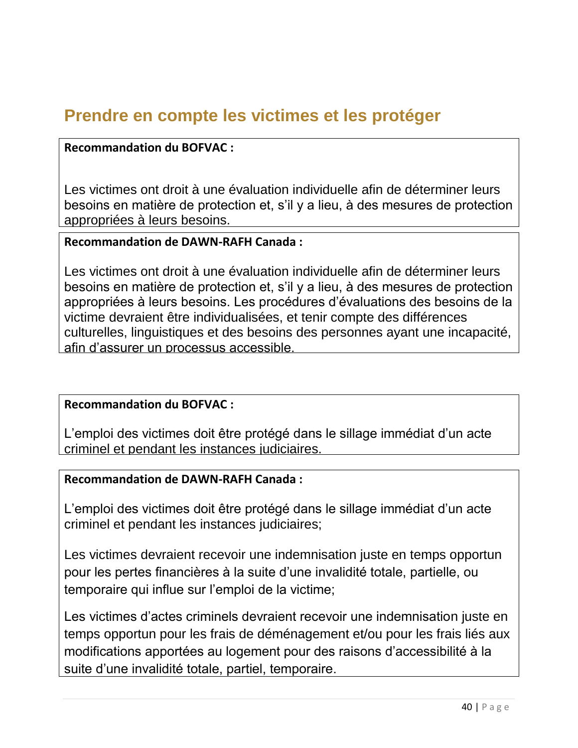# **Prendre en compte les victimes et les protéger**

### **Recommandation du BOFVAC :**

Les victimes ont droit à une évaluation individuelle afin de déterminer leurs besoins en matière de protection et, s'il y a lieu, à des mesures de protection appropriées à leurs besoins.

### **Recommandation de DAWN-RAFH Canada :**

Les victimes ont droit à une évaluation individuelle afin de déterminer leurs besoins en matière de protection et, s'il y a lieu, à des mesures de protection appropriées à leurs besoins. Les procédures d'évaluations des besoins de la victime devraient être individualisées, et tenir compte des différences culturelles, linguistiques et des besoins des personnes ayant une incapacité, afin d'assurer un processus accessible.

### **Recommandation du BOFVAC :**

L'emploi des victimes doit être protégé dans le sillage immédiat d'un acte criminel et pendant les instances judiciaires.

### **Recommandation de DAWN-RAFH Canada :**

L'emploi des victimes doit être protégé dans le sillage immédiat d'un acte criminel et pendant les instances judiciaires;

Les victimes devraient recevoir une indemnisation juste en temps opportun pour les pertes financières à la suite d'une invalidité totale, partielle, ou temporaire qui influe sur l'emploi de la victime;

Les victimes d'actes criminels devraient recevoir une indemnisation juste en temps opportun pour les frais de déménagement et/ou pour les frais liés aux modifications apportées au logement pour des raisons d'accessibilité à la suite d'une invalidité totale, partiel, temporaire.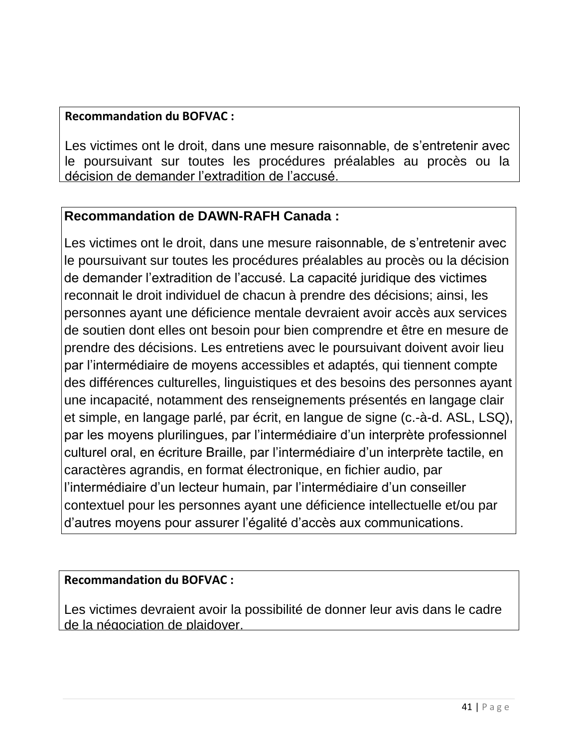### **Recommandation du BOFVAC :**

Les victimes ont le droit, dans une mesure raisonnable, de s'entretenir avec le poursuivant sur toutes les procédures préalables au procès ou la décision de demander l'extradition de l'accusé.

# **Recommandation de DAWN-RAFH Canada :**

Les victimes ont le droit, dans une mesure raisonnable, de s'entretenir avec le poursuivant sur toutes les procédures préalables au procès ou la décision de demander l'extradition de l'accusé. La capacité juridique des victimes reconnait le droit individuel de chacun à prendre des décisions; ainsi, les personnes ayant une déficience mentale devraient avoir accès aux services de soutien dont elles ont besoin pour bien comprendre et être en mesure de prendre des décisions. Les entretiens avec le poursuivant doivent avoir lieu par l'intermédiaire de moyens accessibles et adaptés, qui tiennent compte des différences culturelles, linguistiques et des besoins des personnes ayant une incapacité, notamment des renseignements présentés en langage clair et simple, en langage parlé, par écrit, en langue de signe (c.-à-d. ASL, LSQ), par les moyens plurilingues, par l'intermédiaire d'un interprète professionnel culturel oral, en écriture Braille, par l'intermédiaire d'un interprète tactile, en caractères agrandis, en format électronique, en fichier audio, par l'intermédiaire d'un lecteur humain, par l'intermédiaire d'un conseiller contextuel pour les personnes ayant une déficience intellectuelle et/ou par d'autres moyens pour assurer l'égalité d'accès aux communications.

### **Recommandation du BOFVAC :**

Les victimes devraient avoir la possibilité de donner leur avis dans le cadre de la négociation de plaidoyer.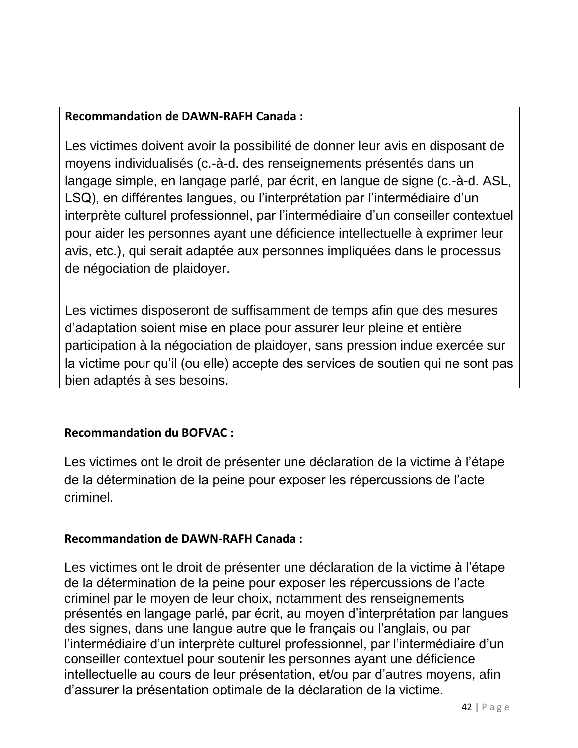# **Recommandation de DAWN-RAFH Canada :**

Les victimes doivent avoir la possibilité de donner leur avis en disposant de moyens individualisés (c.-à-d. des renseignements présentés dans un langage simple, en langage parlé, par écrit, en langue de signe (c.-à-d. ASL, LSQ), en différentes langues, ou l'interprétation par l'intermédiaire d'un interprète culturel professionnel, par l'intermédiaire d'un conseiller contextuel pour aider les personnes ayant une déficience intellectuelle à exprimer leur avis, etc.), qui serait adaptée aux personnes impliquées dans le processus de négociation de plaidoyer.

Les victimes disposeront de suffisamment de temps afin que des mesures d'adaptation soient mise en place pour assurer leur pleine et entière participation à la négociation de plaidoyer, sans pression indue exercée sur la victime pour qu'il (ou elle) accepte des services de soutien qui ne sont pas bien adaptés à ses besoins.

# **Recommandation du BOFVAC :**

Les victimes ont le droit de présenter une déclaration de la victime à l'étape de la détermination de la peine pour exposer les répercussions de l'acte criminel.

# **Recommandation de DAWN-RAFH Canada :**

Les victimes ont le droit de présenter une déclaration de la victime à l'étape de la détermination de la peine pour exposer les répercussions de l'acte criminel par le moyen de leur choix, notamment des renseignements présentés en langage parlé, par écrit, au moyen d'interprétation par langues des signes, dans une langue autre que le français ou l'anglais, ou par l'intermédiaire d'un interprète culturel professionnel, par l'intermédiaire d'un conseiller contextuel pour soutenir les personnes ayant une déficience intellectuelle au cours de leur présentation, et/ou par d'autres moyens, afin d'assurer la présentation optimale de la déclaration de la victime.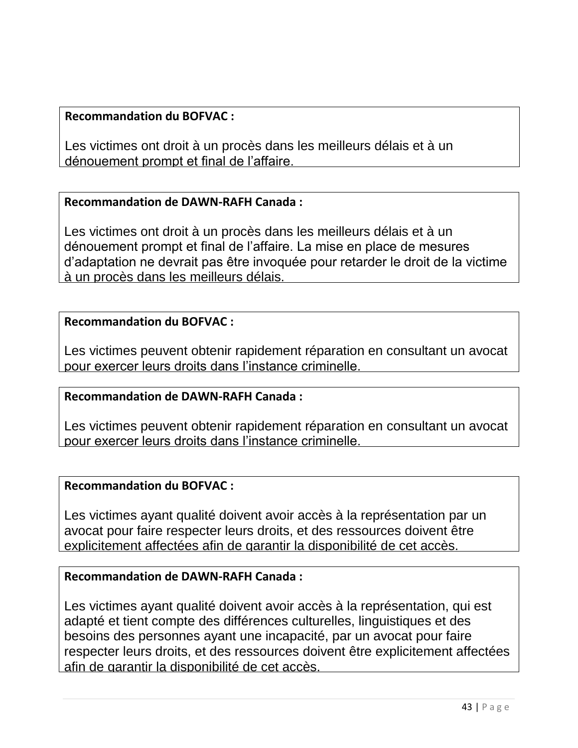### **Recommandation du BOFVAC :**

Les victimes ont droit à un procès dans les meilleurs délais et à un dénouement prompt et final de l'affaire.

### **Recommandation de DAWN-RAFH Canada :**

Les victimes ont droit à un procès dans les meilleurs délais et à un dénouement prompt et final de l'affaire. La mise en place de mesures d'adaptation ne devrait pas être invoquée pour retarder le droit de la victime à un procès dans les meilleurs délais.

### **Recommandation du BOFVAC :**

Les victimes peuvent obtenir rapidement réparation en consultant un avocat pour exercer leurs droits dans l'instance criminelle.

### **Recommandation de DAWN-RAFH Canada :**

Les victimes peuvent obtenir rapidement réparation en consultant un avocat pour exercer leurs droits dans l'instance criminelle.

### **Recommandation du BOFVAC :**

Les victimes ayant qualité doivent avoir accès à la représentation par un avocat pour faire respecter leurs droits, et des ressources doivent être explicitement affectées afin de garantir la disponibilité de cet accès.

### **Recommandation de DAWN-RAFH Canada :**

Les victimes ayant qualité doivent avoir accès à la représentation, qui est adapté et tient compte des différences culturelles, linguistiques et des besoins des personnes ayant une incapacité, par un avocat pour faire respecter leurs droits, et des ressources doivent être explicitement affectées afin de garantir la disponibilité de cet accès.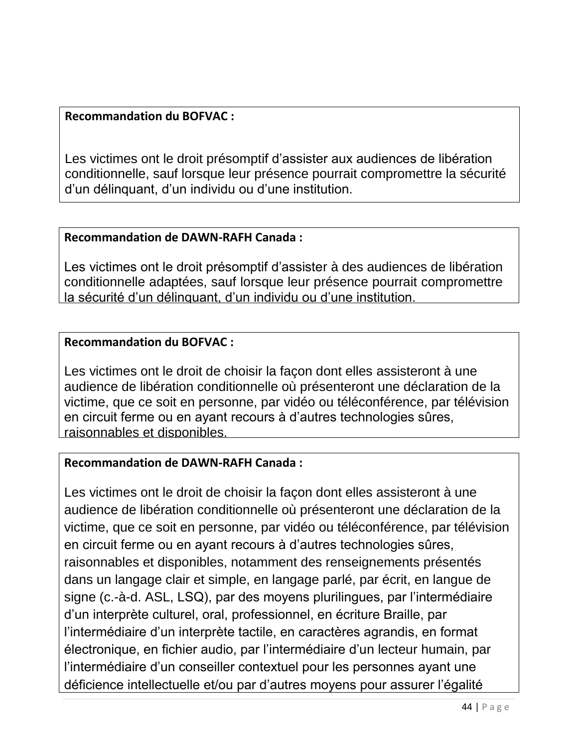### **Recommandation du BOFVAC :**

Les victimes ont le droit présomptif d'assister aux audiences de libération conditionnelle, sauf lorsque leur présence pourrait compromettre la sécurité d'un délinquant, d'un individu ou d'une institution.

# **Recommandation de DAWN-RAFH Canada :**

Les victimes ont le droit présomptif d'assister à des audiences de libération conditionnelle adaptées, sauf lorsque leur présence pourrait compromettre la sécurité d'un délinquant, d'un individu ou d'une institution.

### **Recommandation du BOFVAC :**

Les victimes ont le droit de choisir la façon dont elles assisteront à une audience de libération conditionnelle où présenteront une déclaration de la victime, que ce soit en personne, par vidéo ou téléconférence, par télévision en circuit ferme ou en ayant recours à d'autres technologies sûres, raisonnables et disponibles.

### **Recommandation de DAWN-RAFH Canada :**

Les victimes ont le droit de choisir la façon dont elles assisteront à une audience de libération conditionnelle où présenteront une déclaration de la victime, que ce soit en personne, par vidéo ou téléconférence, par télévision en circuit ferme ou en ayant recours à d'autres technologies sûres, raisonnables et disponibles, notamment des renseignements présentés dans un langage clair et simple, en langage parlé, par écrit, en langue de signe (c.-à-d. ASL, LSQ), par des moyens plurilingues, par l'intermédiaire d'un interprète culturel, oral, professionnel, en écriture Braille, par l'intermédiaire d'un interprète tactile, en caractères agrandis, en format électronique, en fichier audio, par l'intermédiaire d'un lecteur humain, par l'intermédiaire d'un conseiller contextuel pour les personnes ayant une déficience intellectuelle et/ou par d'autres moyens pour assurer l'égalité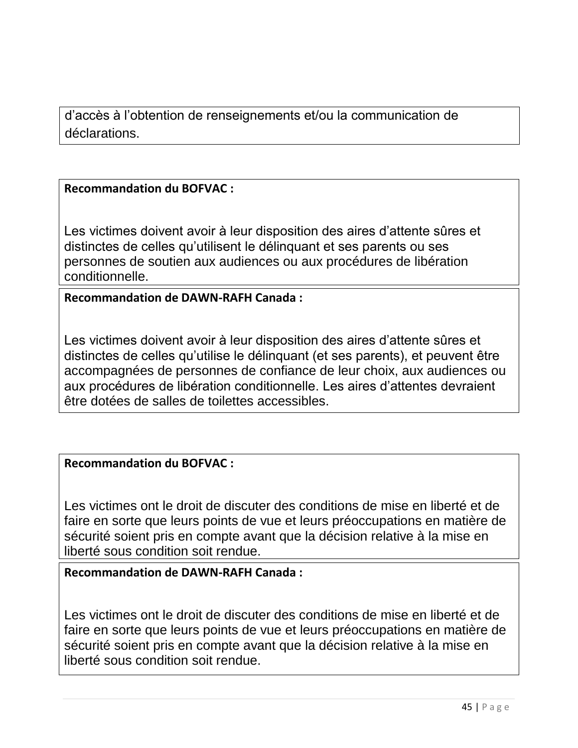d'accès à l'obtention de renseignements et/ou la communication de déclarations.

### **Recommandation du BOFVAC :**

Les victimes doivent avoir à leur disposition des aires d'attente sûres et distinctes de celles qu'utilisent le délinquant et ses parents ou ses personnes de soutien aux audiences ou aux procédures de libération conditionnelle.

**Recommandation de DAWN-RAFH Canada :**

Les victimes doivent avoir à leur disposition des aires d'attente sûres et distinctes de celles qu'utilise le délinquant (et ses parents), et peuvent être accompagnées de personnes de confiance de leur choix, aux audiences ou aux procédures de libération conditionnelle. Les aires d'attentes devraient être dotées de salles de toilettes accessibles.

### **Recommandation du BOFVAC :**

Les victimes ont le droit de discuter des conditions de mise en liberté et de faire en sorte que leurs points de vue et leurs préoccupations en matière de sécurité soient pris en compte avant que la décision relative à la mise en liberté sous condition soit rendue.

### **Recommandation de DAWN-RAFH Canada :**

Les victimes ont le droit de discuter des conditions de mise en liberté et de faire en sorte que leurs points de vue et leurs préoccupations en matière de sécurité soient pris en compte avant que la décision relative à la mise en liberté sous condition soit rendue.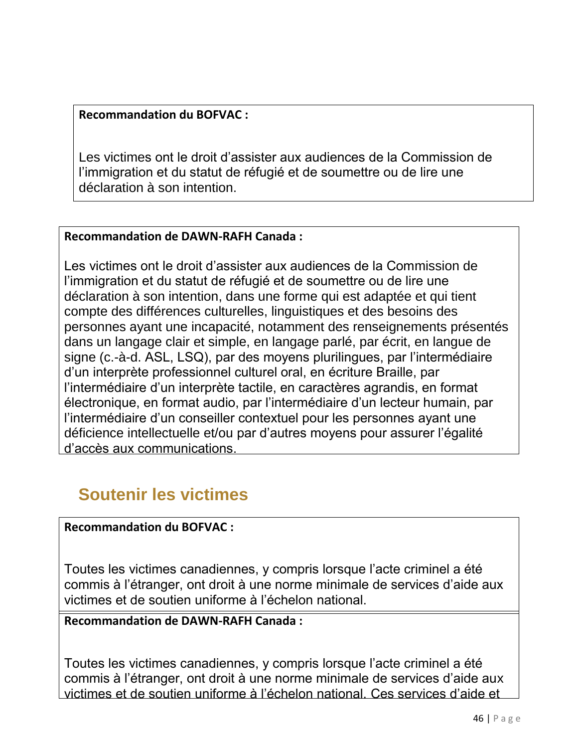### **Recommandation du BOFVAC :**

Les victimes ont le droit d'assister aux audiences de la Commission de l'immigration et du statut de réfugié et de soumettre ou de lire une déclaration à son intention.

### **Recommandation de DAWN-RAFH Canada :**

Les victimes ont le droit d'assister aux audiences de la Commission de l'immigration et du statut de réfugié et de soumettre ou de lire une déclaration à son intention, dans une forme qui est adaptée et qui tient compte des différences culturelles, linguistiques et des besoins des personnes ayant une incapacité, notamment des renseignements présentés dans un langage clair et simple, en langage parlé, par écrit, en langue de signe (c.-à-d. ASL, LSQ), par des moyens plurilingues, par l'intermédiaire d'un interprète professionnel culturel oral, en écriture Braille, par l'intermédiaire d'un interprète tactile, en caractères agrandis, en format électronique, en format audio, par l'intermédiaire d'un lecteur humain, par l'intermédiaire d'un conseiller contextuel pour les personnes ayant une déficience intellectuelle et/ou par d'autres moyens pour assurer l'égalité d'accès aux communications.

# **Soutenir les victimes**

### **Recommandation du BOFVAC :**

Toutes les victimes canadiennes, y compris lorsque l'acte criminel a été commis à l'étranger, ont droit à une norme minimale de services d'aide aux victimes et de soutien uniforme à l'échelon national.

### **Recommandation de DAWN-RAFH Canada :**

Toutes les victimes canadiennes, y compris lorsque l'acte criminel a été commis à l'étranger, ont droit à une norme minimale de services d'aide aux victimes et de soutien uniforme à l'échelon national. Ces services d'aide et